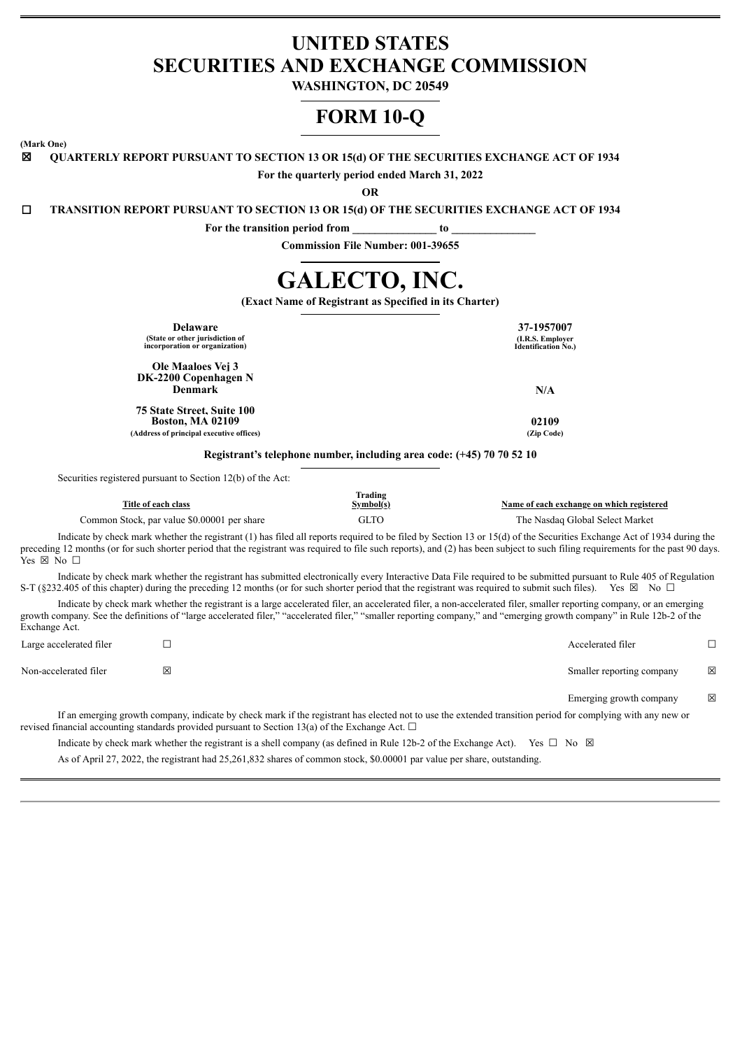# **UNITED STATES SECURITIES AND EXCHANGE COMMISSION**

**WASHINGTON, DC 20549**

# **FORM 10-Q**

**(Mark One)**

☒ **QUARTERLY REPORT PURSUANT TO SECTION 13 OR 15(d) OF THE SECURITIES EXCHANGE ACT OF 1934**

**For the quarterly period ended March 31, 2022**

**OR**

☐ **TRANSITION REPORT PURSUANT TO SECTION 13 OR 15(d) OF THE SECURITIES EXCHANGE ACT OF 1934**

**For the transition period from \_\_\_\_\_\_\_\_\_\_\_\_\_\_\_ to \_\_\_\_\_\_\_\_\_\_\_\_\_\_\_**

**Commission File Number: 001-39655**

# **GALECTO, INC.**

**(Exact Name of Registrant as Specified in its Charter)**

| <b>Delaware</b><br>(State or other jurisdiction of<br>incorporation or organization)                     | 37-1957007<br>(I.R.S. Employer<br>Identification No.) |
|----------------------------------------------------------------------------------------------------------|-------------------------------------------------------|
| Ole Maaloes Vei 3<br>DK-2200 Copenhagen N<br><b>Denmark</b>                                              | N/A                                                   |
| <b>75 State Street. Suite 100</b><br><b>Boston, MA 02109</b><br>(Address of principal executive offices) | 02109<br>(Zip Code)                                   |

**Registrant's telephone number, including area code: (+45) 70 70 52 10**

Securities registered pursuant to Section 12(b) of the Act:

| Title of each class                         | Trading<br>Symbol(s) | Name of each exchange on which registered                                                                                                                             |
|---------------------------------------------|----------------------|-----------------------------------------------------------------------------------------------------------------------------------------------------------------------|
| Common Stock, par value \$0,00001 per share | <b>GLTO</b>          | The Nasdaq Global Select Market                                                                                                                                       |
|                                             |                      | Indicate by check mark whether the registrant (1) has filed all reports required to be filed by Section 13 or 15(d) of the Securities Exchange Act of 1934 during the |

preceding 12 months (or for such shorter period that the registrant was required to file such reports), and (2) has been subject to such filing requirements for the past 90 days. Yes ⊠ No □

Indicate by check mark whether the registrant has submitted electronically every Interactive Data File required to be submitted pursuant to Rule 405 of Regulation S-T (§232.405 of this chapter) during the preceding 12 months (or for such shorter period that the registrant was required to submit such files). Yes ⊠ No  $\Box$ 

Indicate by check mark whether the registrant is a large accelerated filer, an accelerated filer, a non-accelerated filer, smaller reporting company, or an emerging growth company. See the definitions of "large accelerated filer," "accelerated filer," "smaller reporting company," and "emerging growth company" in Rule 12b-2 of the Exchange Act.

| Large accelerated filer |   | Accelerated filer         |   |
|-------------------------|---|---------------------------|---|
| Non-accelerated filer   | 図 | Smaller reporting company | 区 |
|                         |   | Emerging growth company   | 区 |

If an emerging growth company, indicate by check mark if the registrant has elected not to use the extended transition period for complying with any new or revised financial accounting standards provided pursuant to Section 13(a) of the Exchange Act.  $\Box$ 

Indicate by check mark whether the registrant is a shell company (as defined in Rule 12b-2 of the Exchange Act). Yes  $\Box$  No  $\boxtimes$ 

As of April 27, 2022, the registrant had 25,261,832 shares of common stock, \$0.00001 par value per share, outstanding.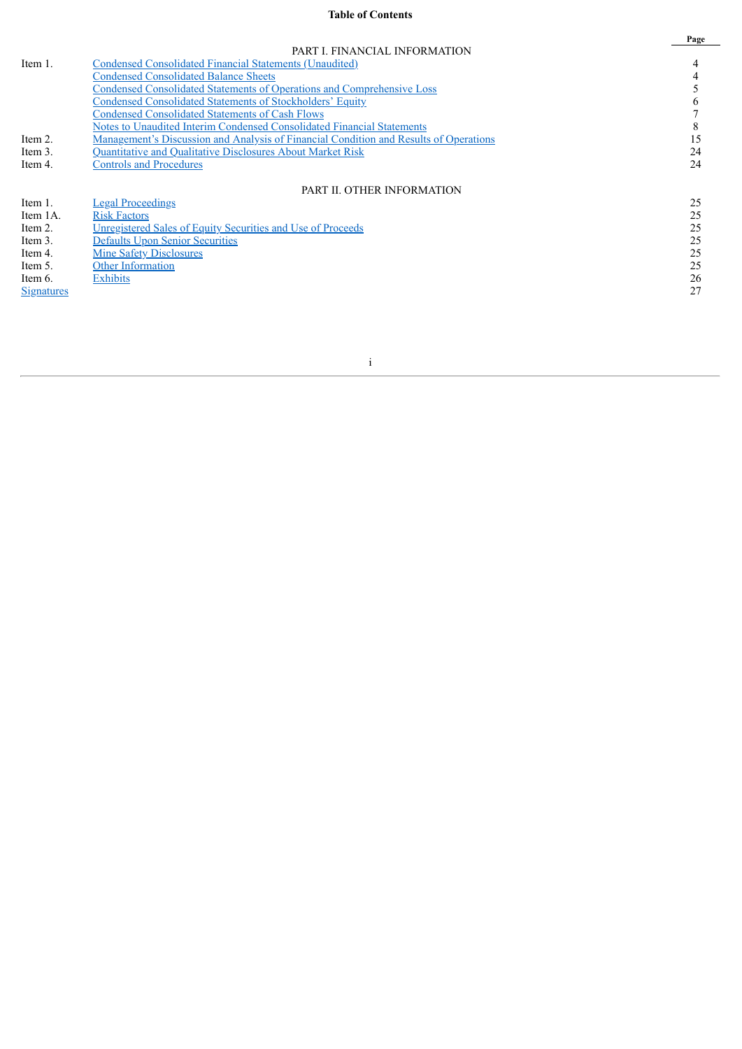## **Table of Contents**

|            |                                                                                              | Page |
|------------|----------------------------------------------------------------------------------------------|------|
|            | PART I. FINANCIAL INFORMATION                                                                |      |
| Item 1.    | <b>Condensed Consolidated Financial Statements (Unaudited)</b>                               |      |
|            | <b>Condensed Consolidated Balance Sheets</b>                                                 |      |
|            | <b>Condensed Consolidated Statements of Operations and Comprehensive Loss</b>                |      |
|            | Condensed Consolidated Statements of Stockholders' Equity                                    |      |
|            | <b>Condensed Consolidated Statements of Cash Flows</b>                                       |      |
|            | Notes to Unaudited Interim Condensed Consolidated Financial Statements                       |      |
| Item 2.    | <u>Management's Discussion and Analysis of Financial Condition and Results of Operations</u> |      |
| Item 3.    | Quantitative and Qualitative Disclosures About Market Risk                                   | 24   |
| Item 4.    | <b>Controls and Procedures</b>                                                               | 24   |
|            | PART II. OTHER INFORMATION                                                                   |      |
| Item 1.    | <b>Legal Proceedings</b>                                                                     | 25   |
| Item 1A.   | <b>Risk Factors</b>                                                                          | 25   |
| Item 2.    | Unregistered Sales of Equity Securities and Use of Proceeds                                  | 25   |
| Item 3.    | <b>Defaults Upon Senior Securities</b>                                                       | 25   |
| Item 4.    | <b>Mine Safety Disclosures</b>                                                               | 25   |
| Item 5.    | <b>Other Information</b>                                                                     | 25   |
| Item 6.    | <b>Exhibits</b>                                                                              | 26   |
| Signatures |                                                                                              | 27   |

i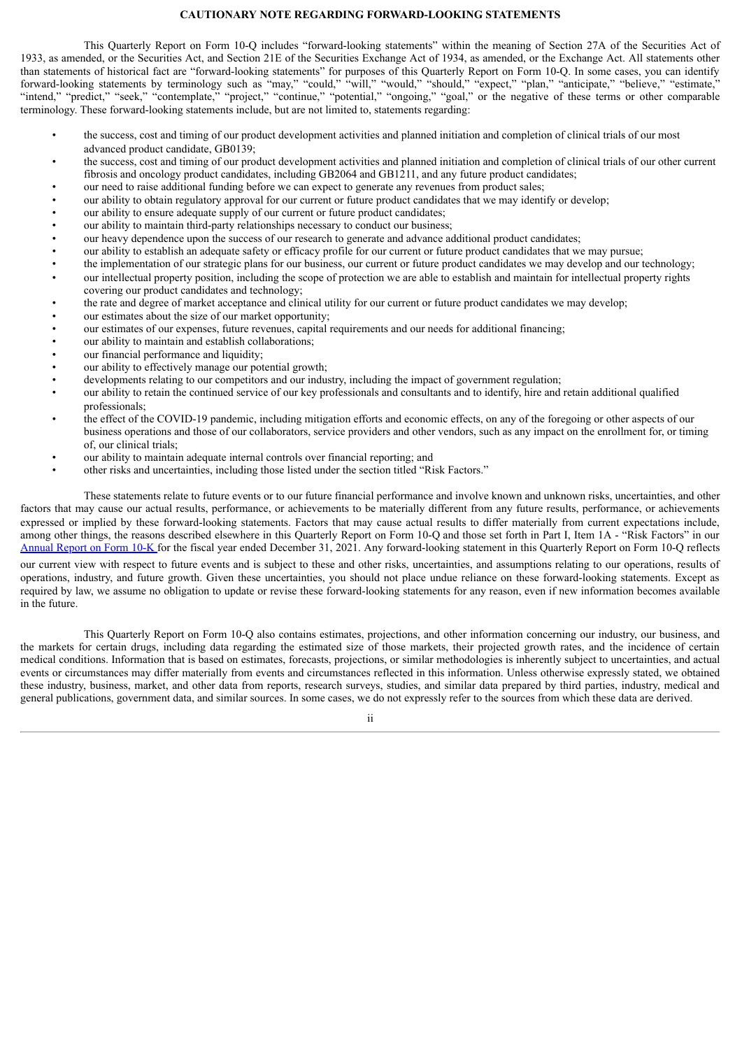#### **CAUTIONARY NOTE REGARDING FORWARD-LOOKING STATEMENTS**

This Quarterly Report on Form 10-Q includes "forward-looking statements" within the meaning of Section 27A of the Securities Act of 1933, as amended, or the Securities Act, and Section 21E of the Securities Exchange Act of 1934, as amended, or the Exchange Act. All statements other than statements of historical fact are "forward-looking statements" for purposes of this Quarterly Report on Form 10-Q. In some cases, you can identify forward-looking statements by terminology such as "may," "could," "will," "would," "should," "expect," "plan," "anticipate," "believe," "estimate," "intend," "predict," "seek," "contemplate," "project," "continue," "potential," "ongoing," "goal," or the negative of these terms or other comparable terminology. These forward-looking statements include, but are not limited to, statements regarding:

- the success, cost and timing of our product development activities and planned initiation and completion of clinical trials of our most advanced product candidate, GB0139;
- the success, cost and timing of our product development activities and planned initiation and completion of clinical trials of our other current fibrosis and oncology product candidates, including GB2064 and GB1211, and any future product candidates;
- our need to raise additional funding before we can expect to generate any revenues from product sales;
- our ability to obtain regulatory approval for our current or future product candidates that we may identify or develop;
- our ability to ensure adequate supply of our current or future product candidates;<br>• our ability to maintain third-party relationships necessary to conduct our business
- our ability to maintain third-party relationships necessary to conduct our business;
- our heavy dependence upon the success of our research to generate and advance additional product candidates;<br>• our ability to establish an adequate safety or efficacy profile for our current or future product candidates
- our ability to establish an adequate safety or efficacy profile for our current or future product candidates that we may pursue;
- the implementation of our strategic plans for our business, our current or future product candidates we may develop and our technology;
- our intellectual property position, including the scope of protection we are able to establish and maintain for intellectual property rights covering our product candidates and technology;
- the rate and degree of market acceptance and clinical utility for our current or future product candidates we may develop;
- our estimates about the size of our market opportunity;
- our estimates of our expenses, future revenues, capital requirements and our needs for additional financing;
- our ability to maintain and establish collaborations;
- our financial performance and liquidity;
- our ability to effectively manage our potential growth:
- developments relating to our competitors and our industry, including the impact of government regulation;
- our ability to retain the continued service of our key professionals and consultants and to identify, hire and retain additional qualified professionals;
- the effect of the COVID-19 pandemic, including mitigation efforts and economic effects, on any of the foregoing or other aspects of our business operations and those of our collaborators, service providers and other vendors, such as any impact on the enrollment for, or timing of, our clinical trials;
- our ability to maintain adequate internal controls over financial reporting; and
- other risks and uncertainties, including those listed under the section titled "Risk Factors."

These statements relate to future events or to our future financial performance and involve known and unknown risks, uncertainties, and other factors that may cause our actual results, performance, or achievements to be materially different from any future results, performance, or achievements expressed or implied by these forward-looking statements. Factors that may cause actual results to differ materially from current expectations include, among other things, the reasons described elsewhere in this Quarterly Report on Form 10-Q and those set forth in Part I, Item 1A - "Risk Factors" in our [Annual](https://www.sec.gov/ix?doc=/Archives/edgar/data/1800315/000156459022005569/glto-10k_20211231.htm) Report on Form 10-K for the fiscal year ended December 31, 2021. Any forward-looking statement in this Quarterly Report on Form 10-Q reflects

our current view with respect to future events and is subject to these and other risks, uncertainties, and assumptions relating to our operations, results of operations, industry, and future growth. Given these uncertainties, you should not place undue reliance on these forward-looking statements. Except as required by law, we assume no obligation to update or revise these forward-looking statements for any reason, even if new information becomes available in the future.

This Quarterly Report on Form 10-Q also contains estimates, projections, and other information concerning our industry, our business, and the markets for certain drugs, including data regarding the estimated size of those markets, their projected growth rates, and the incidence of certain medical conditions. Information that is based on estimates, forecasts, projections, or similar methodologies is inherently subject to uncertainties, and actual events or circumstances may differ materially from events and circumstances reflected in this information. Unless otherwise expressly stated, we obtained these industry, business, market, and other data from reports, research surveys, studies, and similar data prepared by third parties, industry, medical and general publications, government data, and similar sources. In some cases, we do not expressly refer to the sources from which these data are derived.

ii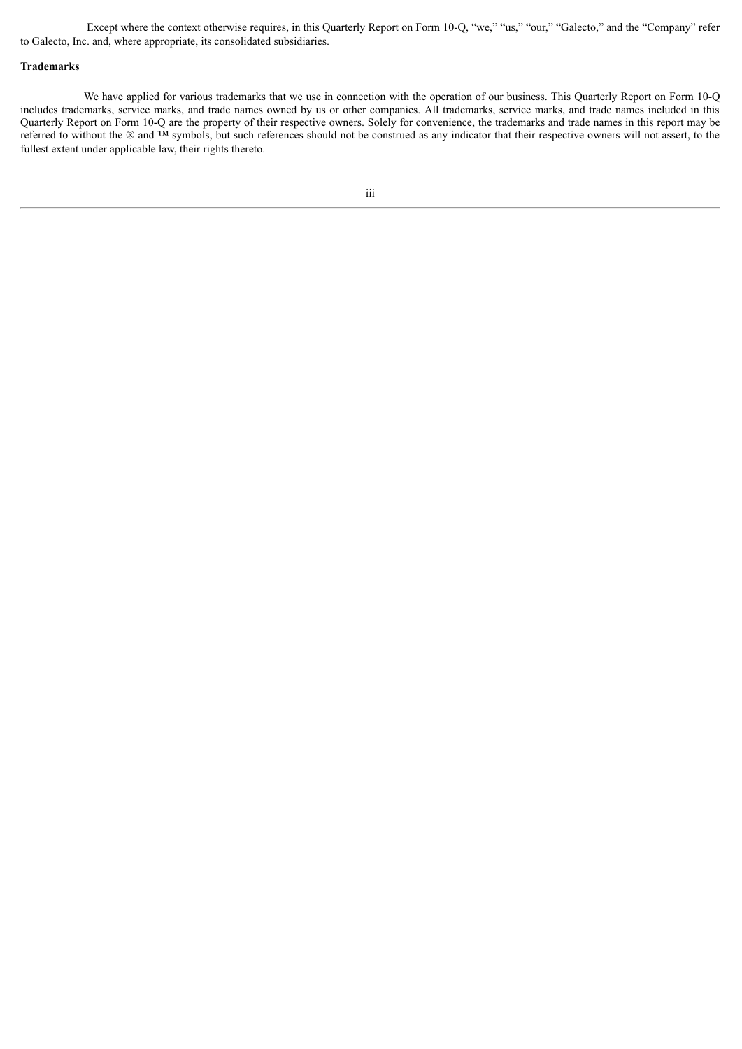Except where the context otherwise requires, in this Quarterly Report on Form 10-Q, "we," "us," "our," "Galecto," and the "Company" refer to Galecto, Inc. and, where appropriate, its consolidated subsidiaries.

#### **Trademarks**

We have applied for various trademarks that we use in connection with the operation of our business. This Quarterly Report on Form 10-Q includes trademarks, service marks, and trade names owned by us or other companies. All trademarks, service marks, and trade names included in this Quarterly Report on Form 10-Q are the property of their respective owners. Solely for convenience, the trademarks and trade names in this report may be referred to without the ® and ™ symbols, but such references should not be construed as any indicator that their respective owners will not assert, to the fullest extent under applicable law, their rights thereto.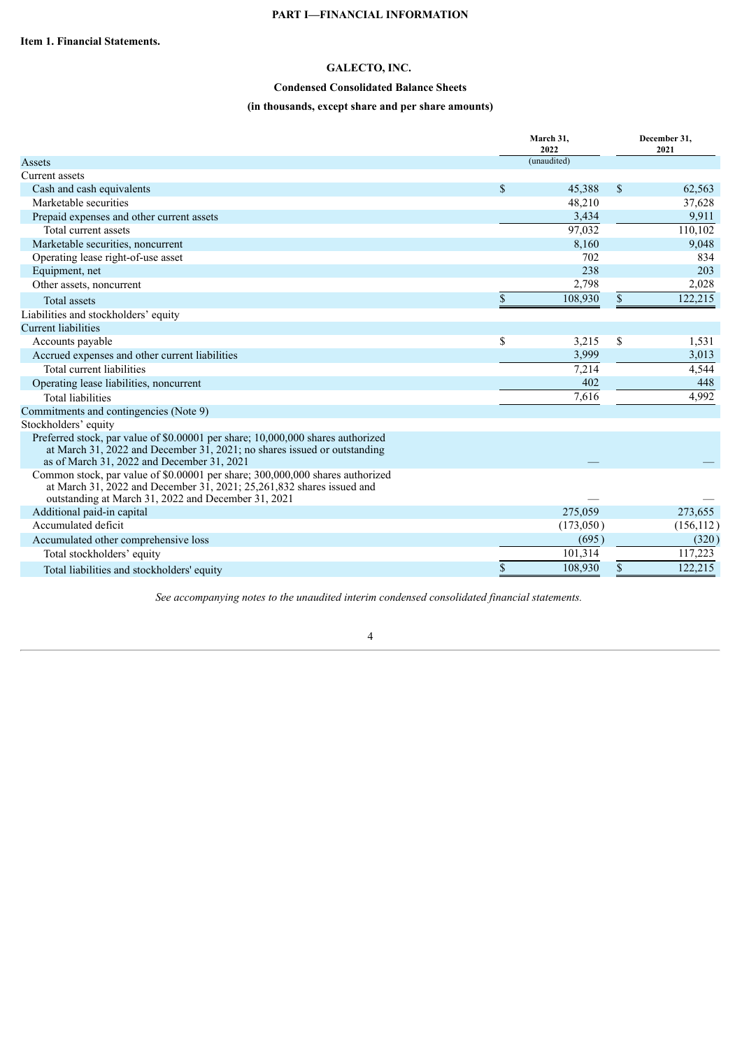#### **PART I—FINANCIAL INFORMATION**

## **GALECTO, INC.**

## **Condensed Consolidated Balance Sheets**

## **(in thousands, except share and per share amounts)**

<span id="page-4-1"></span><span id="page-4-0"></span>

|                                                                                                                                                                                                                              | March 31,<br>2022 | December 31,<br>2021 |            |  |
|------------------------------------------------------------------------------------------------------------------------------------------------------------------------------------------------------------------------------|-------------------|----------------------|------------|--|
| Assets                                                                                                                                                                                                                       | (unaudited)       |                      |            |  |
| Current assets                                                                                                                                                                                                               |                   |                      |            |  |
| Cash and cash equivalents                                                                                                                                                                                                    | \$<br>45,388      | \$                   | 62,563     |  |
| Marketable securities                                                                                                                                                                                                        | 48,210            |                      | 37,628     |  |
| Prepaid expenses and other current assets                                                                                                                                                                                    | 3,434             |                      | 9,911      |  |
| Total current assets                                                                                                                                                                                                         | 97,032            |                      | 110,102    |  |
| Marketable securities, noncurrent                                                                                                                                                                                            | 8,160             |                      | 9,048      |  |
| Operating lease right-of-use asset                                                                                                                                                                                           | 702               |                      | 834        |  |
| Equipment, net                                                                                                                                                                                                               | 238               |                      | 203        |  |
| Other assets, noncurrent                                                                                                                                                                                                     | 2,798             |                      | 2,028      |  |
| <b>Total assets</b>                                                                                                                                                                                                          | \$<br>108,930     | \$                   | 122,215    |  |
| Liabilities and stockholders' equity                                                                                                                                                                                         |                   |                      |            |  |
| <b>Current liabilities</b>                                                                                                                                                                                                   |                   |                      |            |  |
| Accounts payable                                                                                                                                                                                                             | \$<br>3,215       | \$                   | 1,531      |  |
| Accrued expenses and other current liabilities                                                                                                                                                                               | 3,999             |                      | 3,013      |  |
| Total current liabilities                                                                                                                                                                                                    | 7,214             |                      | 4,544      |  |
| Operating lease liabilities, noncurrent                                                                                                                                                                                      | 402               |                      | 448        |  |
| <b>Total liabilities</b>                                                                                                                                                                                                     | 7,616             |                      | 4,992      |  |
| Commitments and contingencies (Note 9)                                                                                                                                                                                       |                   |                      |            |  |
| Stockholders' equity                                                                                                                                                                                                         |                   |                      |            |  |
| Preferred stock, par value of \$0,00001 per share; 10,000,000 shares authorized<br>at March 31, 2022 and December 31, 2021; no shares issued or outstanding<br>as of March 31, 2022 and December 31, 2021                    |                   |                      |            |  |
| Common stock, par value of \$0.00001 per share; 300,000,000 shares authorized<br>at March 31, $\overline{2022}$ and December 31, 2021; 25, 261, 832 shares issued and<br>outstanding at March 31, 2022 and December 31, 2021 |                   |                      |            |  |
| Additional paid-in capital                                                                                                                                                                                                   | 275,059           |                      | 273,655    |  |
| Accumulated deficit                                                                                                                                                                                                          | (173,050)         |                      | (156, 112) |  |
| Accumulated other comprehensive loss                                                                                                                                                                                         | (695)             |                      | (320)      |  |
| Total stockholders' equity                                                                                                                                                                                                   | 101,314           |                      | 117,223    |  |
| Total liabilities and stockholders' equity                                                                                                                                                                                   | \$<br>108,930     | \$                   | 122,215    |  |

*See accompanying notes to the unaudited interim condensed consolidated financial statements.*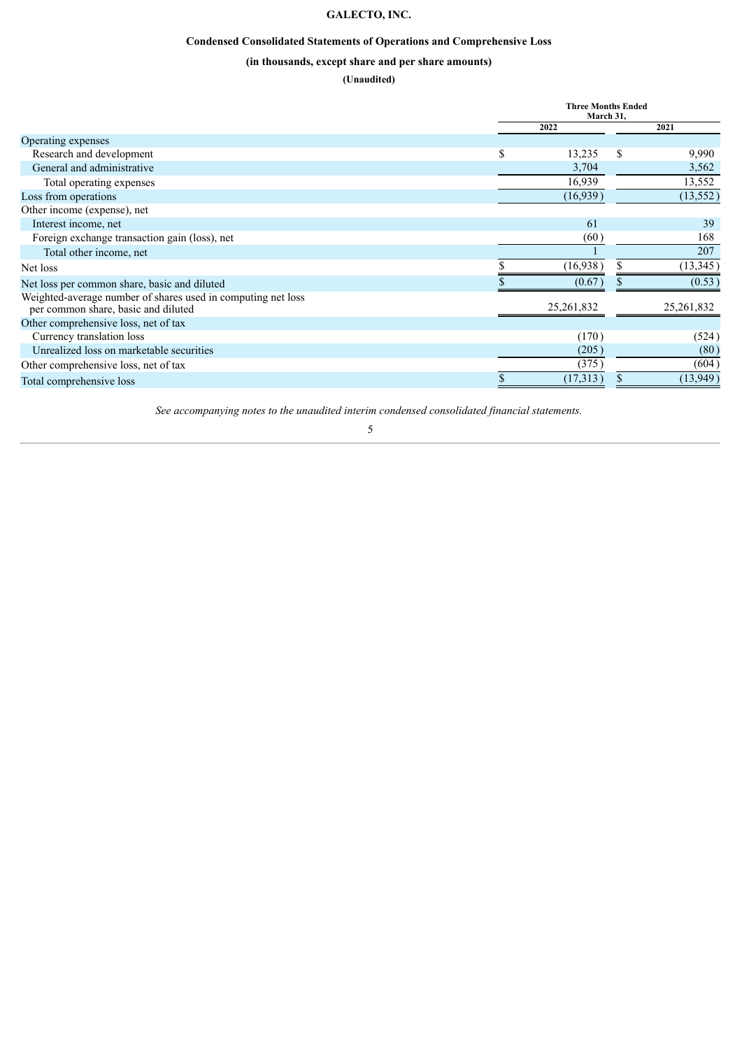## **GALECTO, INC.**

## **Condensed Consolidated Statements of Operations and Comprehensive Loss**

## **(in thousands, except share and per share amounts)**

## **(Unaudited)**

<span id="page-5-0"></span>

|                                                                                                     | <b>Three Months Ended</b><br>March 31, |    |              |
|-----------------------------------------------------------------------------------------------------|----------------------------------------|----|--------------|
|                                                                                                     | 2022                                   |    | 2021         |
| Operating expenses                                                                                  |                                        |    |              |
| Research and development                                                                            | \$<br>13,235                           | \$ | 9,990        |
| General and administrative                                                                          | 3,704                                  |    | 3,562        |
| Total operating expenses                                                                            | 16,939                                 |    | 13,552       |
| Loss from operations                                                                                | (16,939)                               |    | (13, 552)    |
| Other income (expense), net                                                                         |                                        |    |              |
| Interest income, net                                                                                | 61                                     |    | 39           |
| Foreign exchange transaction gain (loss), net                                                       | (60)                                   |    | 168          |
| Total other income, net                                                                             |                                        |    | 207          |
| Net loss                                                                                            | (16,938)                               |    | (13, 345)    |
| Net loss per common share, basic and diluted                                                        | (0.67)                                 |    | (0.53)       |
| Weighted-average number of shares used in computing net loss<br>per common share, basic and diluted | 25, 261, 832                           |    | 25, 261, 832 |
| Other comprehensive loss, net of tax                                                                |                                        |    |              |
| Currency translation loss                                                                           | (170)                                  |    | (524)        |
| Unrealized loss on marketable securities                                                            | (205)                                  |    | (80)         |
| Other comprehensive loss, net of tax                                                                | (375)                                  |    | (604)        |
| Total comprehensive loss                                                                            | \$<br>(17,313)                         | \$ | (13,949)     |

*See accompanying notes to the unaudited interim condensed consolidated financial statements.*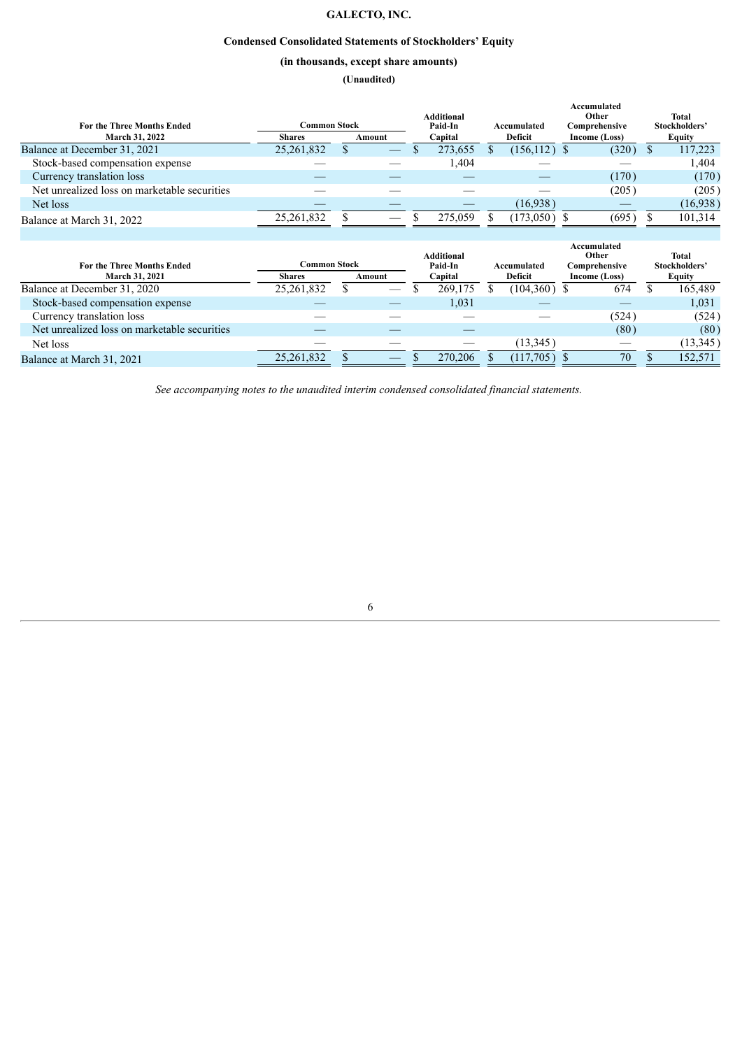## **GALECTO, INC.**

## **Condensed Consolidated Statements of Stockholders' Equity**

## **(in thousands, except share amounts)**

**(Unaudited)**

<span id="page-6-0"></span>

| For the Three Months Ended                   | Common Stock  |                               | <b>Additional</b><br>Paid-In | Accumulated     | Accumulated<br>Other<br>Comprehensive | Total<br>Stockholders' |
|----------------------------------------------|---------------|-------------------------------|------------------------------|-----------------|---------------------------------------|------------------------|
| <b>March 31, 2022</b>                        | <b>Shares</b> | Amount                        | Capital                      | Deficit         | Income (Loss)                         | <b>Equity</b>          |
| Balance at December 31, 2021                 | 25,261,832    |                               | 273,655                      | $(156, 112)$ \$ | (320)                                 | 117,223                |
| Stock-based compensation expense             |               |                               | 1,404                        |                 |                                       | 1,404                  |
| Currency translation loss                    |               |                               |                              |                 | (170)                                 | (170)                  |
| Net unrealized loss on marketable securities |               |                               |                              |                 | (205)                                 | (205)                  |
| Net loss                                     |               |                               |                              | (16.938)        |                                       | (16,938)               |
| Balance at March 31, 2022                    | 25,261,832    | $\overbrace{\phantom{aaaaa}}$ | 275,059                      | (173,050)       | (695)                                 | 101,314                |
|                                              |               |                               |                              |                 |                                       |                        |

|            |               |              |        | Paid-In |                              |           |                        |                |                                                        | Total<br>Stockholders' |
|------------|---------------|--------------|--------|---------|------------------------------|-----------|------------------------|----------------|--------------------------------------------------------|------------------------|
|            |               |              |        |         |                              |           |                        |                |                                                        | <b>Equity</b>          |
| 25,261,832 |               |              |        | 269.175 |                              |           |                        | 674            |                                                        | 165,489                |
|            |               |              |        | 1,031   |                              |           |                        |                |                                                        | 1,031                  |
|            |               |              |        |         |                              |           |                        | (524)          |                                                        | (524)                  |
|            |               |              |        |         |                              |           |                        | (80)           |                                                        | (80)                   |
|            |               |              |        |         |                              | (13, 345) |                        |                |                                                        | (13, 345)              |
| 25,261,832 |               |              |        | 270.206 |                              | (117,705) |                        | 70             |                                                        | 152.571                |
|            | <b>Shares</b> | Common Stock | Amount |         | <b>Additional</b><br>Capital |           | Accumulated<br>Deficit | $(104,360)$ \$ | Accumulated<br>Other<br>Comprehensive<br>Income (Loss) |                        |

*See accompanying notes to the unaudited interim condensed consolidated financial statements.*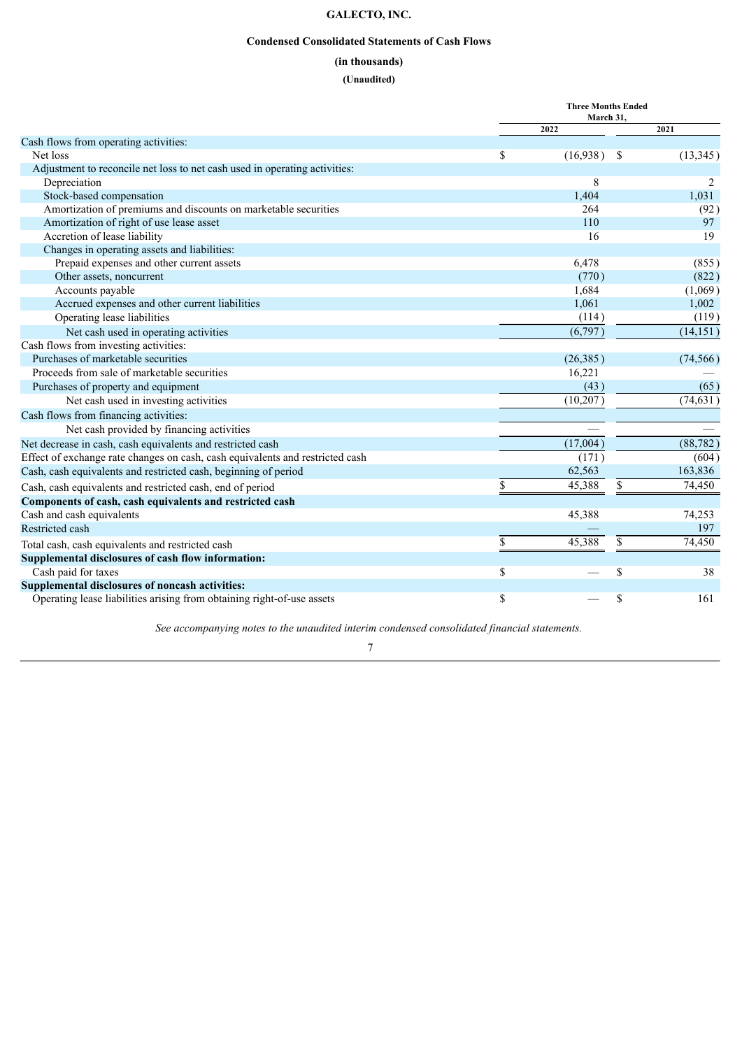## **GALECTO, INC.**

## **Condensed Consolidated Statements of Cash Flows**

## **(in thousands)**

## **(Unaudited)**

<span id="page-7-0"></span>

|                                                                               | <b>Three Months Ended</b><br>March 31, |      |           |
|-------------------------------------------------------------------------------|----------------------------------------|------|-----------|
|                                                                               | 2022                                   |      | 2021      |
| Cash flows from operating activities:                                         |                                        |      |           |
| Net loss                                                                      | \$<br>(16,938)                         | - \$ | (13, 345) |
| Adjustment to reconcile net loss to net cash used in operating activities:    |                                        |      |           |
| Depreciation                                                                  | 8                                      |      |           |
| Stock-based compensation                                                      | 1,404                                  |      | 1,031     |
| Amortization of premiums and discounts on marketable securities               | 264                                    |      | (92)      |
| Amortization of right of use lease asset                                      | 110                                    |      | 97        |
| Accretion of lease liability                                                  | 16                                     |      | 19        |
| Changes in operating assets and liabilities:                                  |                                        |      |           |
| Prepaid expenses and other current assets                                     | 6,478                                  |      | (855)     |
| Other assets, noncurrent                                                      | (770)                                  |      | (822)     |
| Accounts payable                                                              | 1,684                                  |      | (1,069)   |
| Accrued expenses and other current liabilities                                | 1,061                                  |      | 1,002     |
| Operating lease liabilities                                                   | (114)                                  |      | (119)     |
| Net cash used in operating activities                                         | (6,797)                                |      | (14, 151) |
| Cash flows from investing activities:                                         |                                        |      |           |
| Purchases of marketable securities                                            | (26, 385)                              |      | (74, 566) |
| Proceeds from sale of marketable securities                                   | 16,221                                 |      |           |
| Purchases of property and equipment                                           | (43)                                   |      | (65)      |
| Net cash used in investing activities                                         | (10, 207)                              |      | (74, 631) |
| Cash flows from financing activities:                                         |                                        |      |           |
| Net cash provided by financing activities                                     |                                        |      |           |
| Net decrease in cash, cash equivalents and restricted cash                    | (17,004)                               |      | (88, 782) |
| Effect of exchange rate changes on cash, cash equivalents and restricted cash | (171)                                  |      | (604)     |
| Cash, cash equivalents and restricted cash, beginning of period               | 62,563                                 |      | 163,836   |
| Cash, cash equivalents and restricted cash, end of period                     | \$<br>45,388                           | \$   | 74,450    |
| Components of cash, cash equivalents and restricted cash                      |                                        |      |           |
| Cash and cash equivalents                                                     | 45,388                                 |      | 74,253    |
| Restricted cash                                                               |                                        |      | 197       |
| Total cash, cash equivalents and restricted cash                              | \$<br>45,388                           | \$   | 74,450    |
| Supplemental disclosures of cash flow information:                            |                                        |      |           |
| Cash paid for taxes                                                           | \$                                     | \$   | 38        |
| Supplemental disclosures of noncash activities:                               |                                        |      |           |
| Operating lease liabilities arising from obtaining right-of-use assets        | \$                                     | \$   | 161       |

*See accompanying notes to the unaudited interim condensed consolidated financial statements.*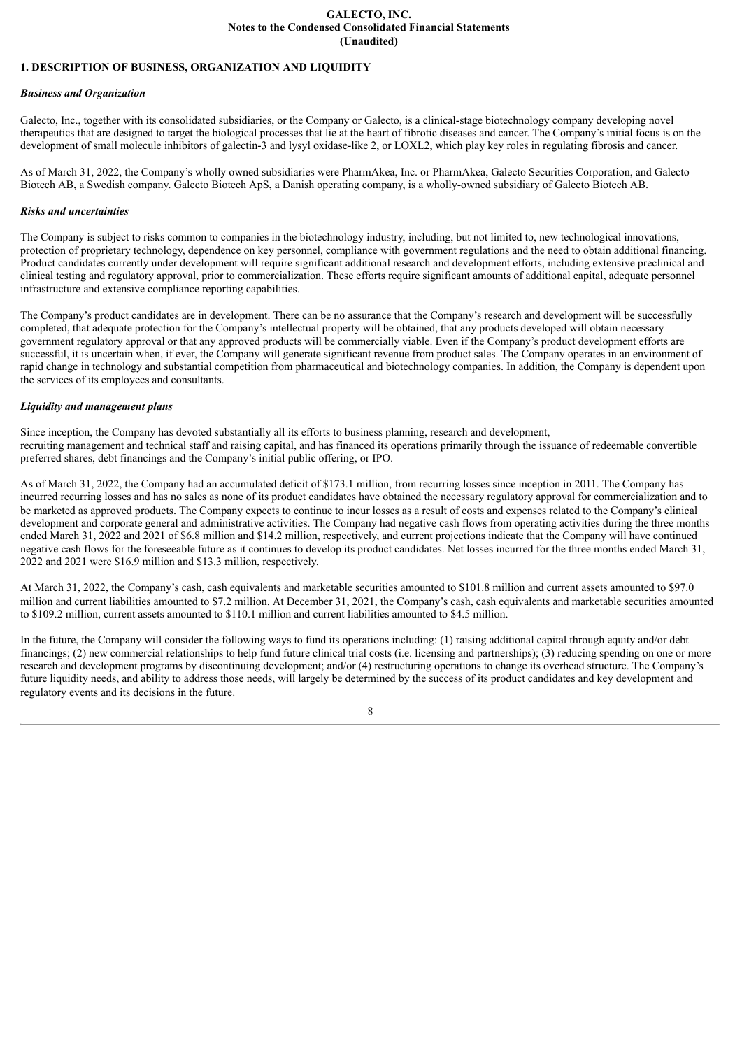#### **GALECTO, INC. Notes to the Condensed Consolidated Financial Statements (Unaudited)**

#### <span id="page-8-0"></span>**1. DESCRIPTION OF BUSINESS, ORGANIZATION AND LIQUIDITY**

#### *Business and Organization*

Galecto, Inc., together with its consolidated subsidiaries, or the Company or Galecto, is a clinical-stage biotechnology company developing novel therapeutics that are designed to target the biological processes that lie at the heart of fibrotic diseases and cancer. The Company's initial focus is on the development of small molecule inhibitors of galectin-3 and lysyl oxidase-like 2, or LOXL2, which play key roles in regulating fibrosis and cancer.

As of March 31, 2022, the Company's wholly owned subsidiaries were PharmAkea, Inc. or PharmAkea, Galecto Securities Corporation, and Galecto Biotech AB, a Swedish company. Galecto Biotech ApS, a Danish operating company, is a wholly-owned subsidiary of Galecto Biotech AB.

#### *Risks and uncertainties*

The Company is subject to risks common to companies in the biotechnology industry, including, but not limited to, new technological innovations, protection of proprietary technology, dependence on key personnel, compliance with government regulations and the need to obtain additional financing. Product candidates currently under development will require significant additional research and development efforts, including extensive preclinical and clinical testing and regulatory approval, prior to commercialization. These efforts require significant amounts of additional capital, adequate personnel infrastructure and extensive compliance reporting capabilities.

The Company's product candidates are in development. There can be no assurance that the Company's research and development will be successfully completed, that adequate protection for the Company's intellectual property will be obtained, that any products developed will obtain necessary government regulatory approval or that any approved products will be commercially viable. Even if the Company's product development efforts are successful, it is uncertain when, if ever, the Company will generate significant revenue from product sales. The Company operates in an environment of rapid change in technology and substantial competition from pharmaceutical and biotechnology companies. In addition, the Company is dependent upon the services of its employees and consultants.

#### *Liquidity and management plans*

Since inception, the Company has devoted substantially all its efforts to business planning, research and development, recruiting management and technical staff and raising capital, and has financed its operations primarily through the issuance of redeemable convertible preferred shares, debt financings and the Company's initial public offering, or IPO.

As of March 31, 2022, the Company had an accumulated deficit of \$173.1 million, from recurring losses since inception in 2011. The Company has incurred recurring losses and has no sales as none of its product candidates have obtained the necessary regulatory approval for commercialization and to be marketed as approved products. The Company expects to continue to incur losses as a result of costs and expenses related to the Company's clinical development and corporate general and administrative activities. The Company had negative cash flows from operating activities during the three months ended March 31, 2022 and 2021 of \$6.8 million and \$14.2 million, respectively, and current projections indicate that the Company will have continued negative cash flows for the foreseeable future as it continues to develop its product candidates. Net losses incurred for the three months ended March 31, 2022 and 2021 were \$16.9 million and \$13.3 million, respectively.

At March 31, 2022, the Company's cash, cash equivalents and marketable securities amounted to \$101.8 million and current assets amounted to \$97.0 million and current liabilities amounted to \$7.2 million. At December 31, 2021, the Company's cash, cash equivalents and marketable securities amounted to \$109.2 million, current assets amounted to \$110.1 million and current liabilities amounted to \$4.5 million.

In the future, the Company will consider the following ways to fund its operations including: (1) raising additional capital through equity and/or debt financings; (2) new commercial relationships to help fund future clinical trial costs (i.e. licensing and partnerships); (3) reducing spending on one or more research and development programs by discontinuing development; and/or (4) restructuring operations to change its overhead structure. The Company's future liquidity needs, and ability to address those needs, will largely be determined by the success of its product candidates and key development and regulatory events and its decisions in the future.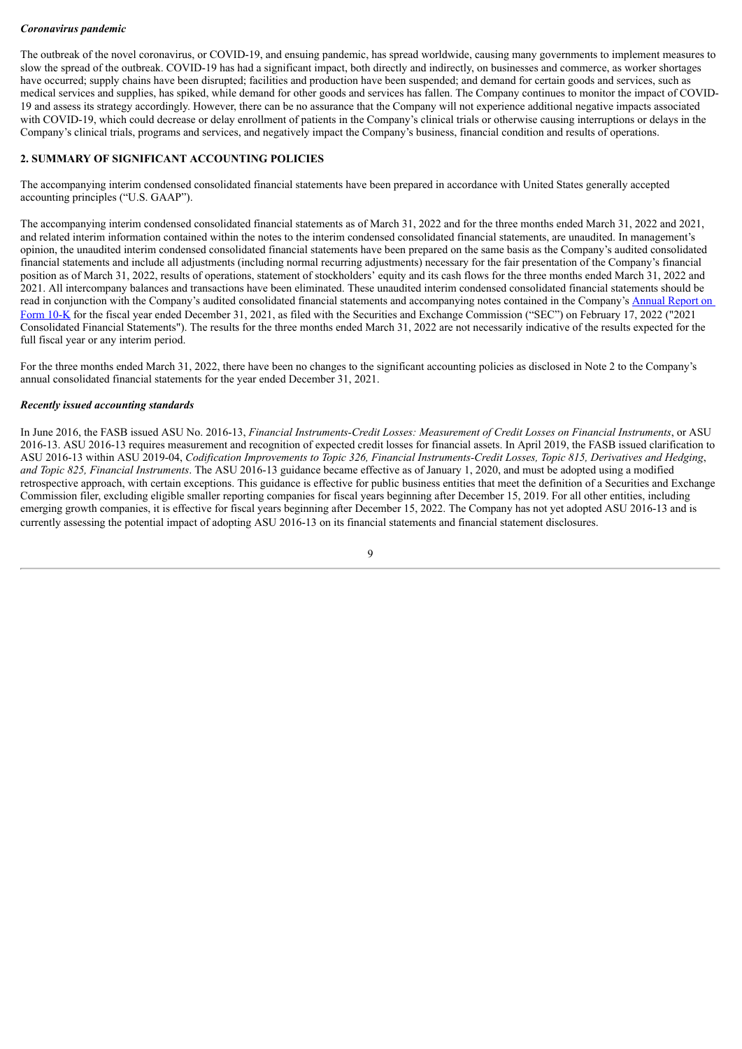#### *Coronavirus pandemic*

The outbreak of the novel coronavirus, or COVID-19, and ensuing pandemic, has spread worldwide, causing many governments to implement measures to slow the spread of the outbreak. COVID-19 has had a significant impact, both directly and indirectly, on businesses and commerce, as worker shortages have occurred; supply chains have been disrupted; facilities and production have been suspended; and demand for certain goods and services, such as medical services and supplies, has spiked, while demand for other goods and services has fallen. The Company continues to monitor the impact of COVID-19 and assess its strategy accordingly. However, there can be no assurance that the Company will not experience additional negative impacts associated with COVID-19, which could decrease or delay enrollment of patients in the Company's clinical trials or otherwise causing interruptions or delays in the Company's clinical trials, programs and services, and negatively impact the Company's business, financial condition and results of operations.

#### **2. SUMMARY OF SIGNIFICANT ACCOUNTING POLICIES**

The accompanying interim condensed consolidated financial statements have been prepared in accordance with United States generally accepted accounting principles ("U.S. GAAP").

The accompanying interim condensed consolidated financial statements as of March 31, 2022 and for the three months ended March 31, 2022 and 2021, and related interim information contained within the notes to the interim condensed consolidated financial statements, are unaudited. In management's opinion, the unaudited interim condensed consolidated financial statements have been prepared on the same basis as the Company's audited consolidated financial statements and include all adjustments (including normal recurring adjustments) necessary for the fair presentation of the Company's financial position as of March 31, 2022, results of operations, statement of stockholders' equity and its cash flows for the three months ended March 31, 2022 and 2021. All intercompany balances and transactions have been eliminated. These unaudited interim condensed consolidated financial statements should be read in conjunction with the Company's audited consolidated financial statements and [accompanying](https://www.sec.gov/ix?doc=/Archives/edgar/data/1800315/000156459022005569/glto-10k_20211231.htm) notes contained in the Company's Annual Report on Form 10-K for the fiscal year ended December 31, 2021, as filed with the Securities and Exchange Commission ("SEC") on February 17, 2022 ("2021 Consolidated Financial Statements"). The results for the three months ended March 31, 2022 are not necessarily indicative of the results expected for the full fiscal year or any interim period.

For the three months ended March 31, 2022, there have been no changes to the significant accounting policies as disclosed in Note 2 to the Company's annual consolidated financial statements for the year ended December 31, 2021.

#### *Recently issued accounting standards*

In June 2016, the FASB issued ASU No. 2016-13, *Financial Instruments-Credit Losses: Measurement of Credit Losses on Financial Instruments*, or ASU 2016-13. ASU 2016-13 requires measurement and recognition of expected credit losses for financial assets. In April 2019, the FASB issued clarification to ASU 2016-13 within ASU 2019-04, Codification Improvements to Topic 326, Financial Instruments-Credit Losses, Topic 815, Derivatives and Hedging, *and Topic 825, Financial Instruments*. The ASU 2016-13 guidance became effective as of January 1, 2020, and must be adopted using a modified retrospective approach, with certain exceptions. This guidance is effective for public business entities that meet the definition of a Securities and Exchange Commission filer, excluding eligible smaller reporting companies for fiscal years beginning after December 15, 2019. For all other entities, including emerging growth companies, it is effective for fiscal years beginning after December 15, 2022. The Company has not yet adopted ASU 2016-13 and is currently assessing the potential impact of adopting ASU 2016-13 on its financial statements and financial statement disclosures.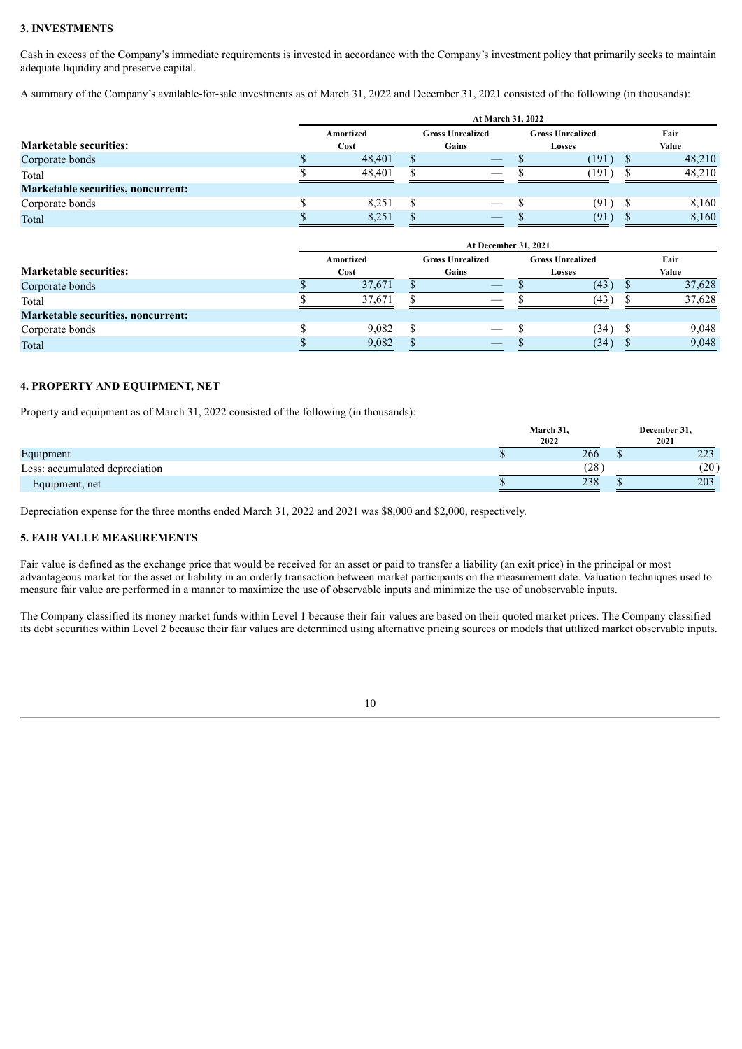## **3. INVESTMENTS**

Cash in excess of the Company's immediate requirements is invested in accordance with the Company's investment policy that primarily seeks to maintain adequate liquidity and preserve capital.

A summary of the Company's available-for-sale investments as of March 31, 2022 and December 31, 2021 consisted of the following (in thousands):

|                                    | At March 31, 2022 |  |                                |  |                         |  |        |  |  |
|------------------------------------|-------------------|--|--------------------------------|--|-------------------------|--|--------|--|--|
|                                    | Amortized         |  | <b>Gross Unrealized</b>        |  | <b>Gross Unrealized</b> |  | Fair   |  |  |
| <b>Marketable securities:</b>      | Cost              |  | Gains                          |  | Losses                  |  | Value  |  |  |
| Corporate bonds                    | 48,401            |  | $\overbrace{\hspace{25mm}}^{}$ |  | (191                    |  | 48,210 |  |  |
| Total                              | 48.401            |  |                                |  | (191                    |  | 48,210 |  |  |
| Marketable securities, noncurrent: |                   |  |                                |  |                         |  |        |  |  |
| Corporate bonds                    | 8,251             |  |                                |  | (91                     |  | 8,160  |  |  |
| Total                              | 8,251             |  |                                |  | (91)                    |  | 8,160  |  |  |

|                                    | At December 31, 2021 |  |                               |  |                         |  |        |  |  |
|------------------------------------|----------------------|--|-------------------------------|--|-------------------------|--|--------|--|--|
|                                    | Amortized            |  | <b>Gross Unrealized</b>       |  | <b>Gross Unrealized</b> |  | Fair   |  |  |
| <b>Marketable securities:</b>      | Cost                 |  | Gains                         |  | Losses                  |  | Value  |  |  |
| Corporate bonds                    | 37,671               |  | $-$                           |  | (43)                    |  | 37,628 |  |  |
| Total                              | 37.671               |  |                               |  | (43)                    |  | 37,628 |  |  |
| Marketable securities, noncurrent: |                      |  |                               |  |                         |  |        |  |  |
| Corporate bonds                    | 9.082                |  | $\overbrace{\phantom{aaaaa}}$ |  | (34)                    |  | 9.048  |  |  |
| Total                              | 9,082                |  |                               |  | (34)                    |  | 9,048  |  |  |

#### **4. PROPERTY AND EQUIPMENT, NET**

Property and equipment as of March 31, 2022 consisted of the following (in thousands):

|                                | March 31,<br>2022 | December 31.<br>2021 |
|--------------------------------|-------------------|----------------------|
| Equipment                      | 266               | າາາ<br>44.           |
| Less: accumulated depreciation | (28)              | (20)                 |
| Equipment, net                 | 238               | 203                  |

Depreciation expense for the three months ended March 31, 2022 and 2021 was \$8,000 and \$2,000, respectively.

#### **5. FAIR VALUE MEASUREMENTS**

Fair value is defined as the exchange price that would be received for an asset or paid to transfer a liability (an exit price) in the principal or most advantageous market for the asset or liability in an orderly transaction between market participants on the measurement date. Valuation techniques used to measure fair value are performed in a manner to maximize the use of observable inputs and minimize the use of unobservable inputs.

The Company classified its money market funds within Level 1 because their fair values are based on their quoted market prices. The Company classified its debt securities within Level 2 because their fair values are determined using alternative pricing sources or models that utilized market observable inputs.

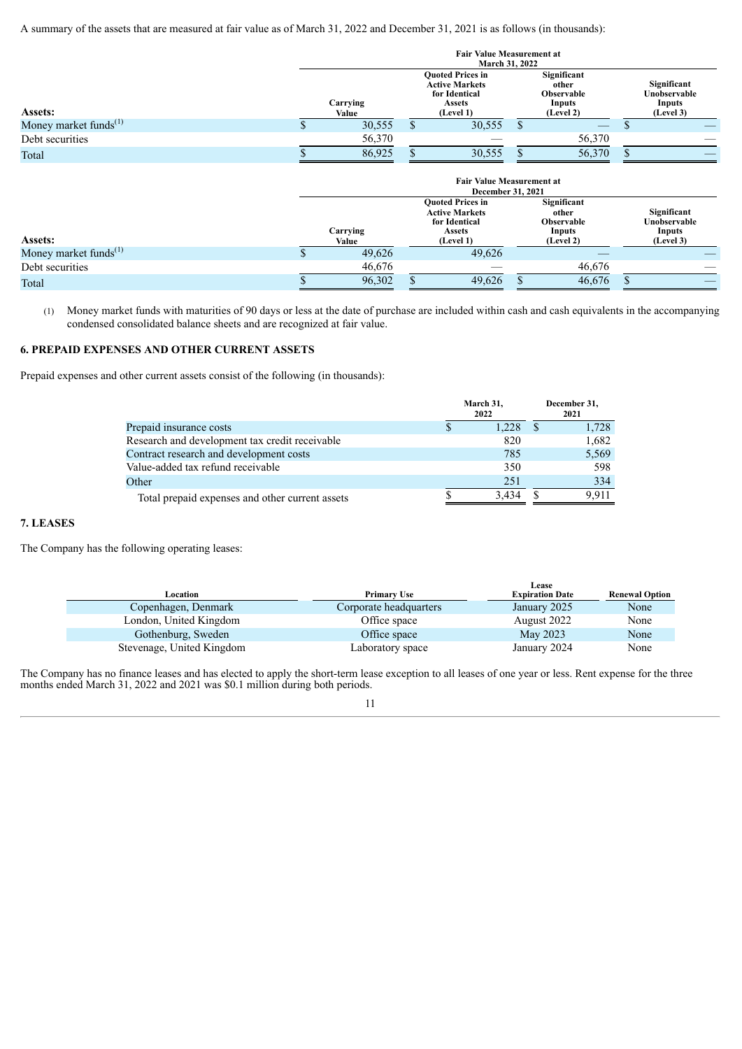A summary of the assets that are measured at fair value as of March 31, 2022 and December 31, 2021 is as follows (in thousands):

|                                   |   |                   | <b>Fair Value Measurement at</b><br><b>March 31, 2022</b>                                       |    |                                                                         |                                                    |
|-----------------------------------|---|-------------------|-------------------------------------------------------------------------------------------------|----|-------------------------------------------------------------------------|----------------------------------------------------|
| Assets:                           |   | Carrying<br>Value | <b>Quoted Prices in</b><br><b>Active Markets</b><br>for Identical<br><b>Assets</b><br>(Level 1) |    | Significant<br>other<br><b>Observable</b><br><b>Inputs</b><br>(Level 2) | Significant<br>Unobservable<br>Inputs<br>(Level 3) |
| Money market funds <sup>(1)</sup> | S | 30,555            | \$<br>30,555                                                                                    | S. |                                                                         |                                                    |
| Debt securities                   |   | 56,370            |                                                                                                 |    | 56,370                                                                  |                                                    |
| Total                             |   | 86,925            | 30,555                                                                                          |    | 56,370                                                                  |                                                    |
|                                   |   |                   | <b>Fair Value Measurement at</b><br><b>December 31, 2021</b>                                    |    |                                                                         |                                                    |
|                                   |   |                   | <b>Ouoted Prices in</b><br><b>Active Markets</b><br>for Identical                               |    | Significant<br>other<br>Observable                                      | Significant<br>Unobservable                        |

| Assets:                           | Carrving<br>Value | for Identical<br><b>Assets</b><br>(Level 1) | <b>Observable</b><br>Inputs<br>(Level 2) | Unobservable<br>Inputs<br>(Level 3) |
|-----------------------------------|-------------------|---------------------------------------------|------------------------------------------|-------------------------------------|
| Money market funds <sup>(1)</sup> | 49,626            | 49.626                                      |                                          |                                     |
| Debt securities                   | 46.676            |                                             | 46.676                                   |                                     |
| Total                             | 96,302            | 49.626                                      | 46.676                                   |                                     |

(1) Money market funds with maturities of 90 days or less at the date of purchase are included within cash and cash equivalents in the accompanying condensed consolidated balance sheets and are recognized at fair value.

#### **6. PREPAID EXPENSES AND OTHER CURRENT ASSETS**

Prepaid expenses and other current assets consist of the following (in thousands):

|                                                 | March 31,<br>2022 | December 31,<br>2021 |
|-------------------------------------------------|-------------------|----------------------|
| Prepaid insurance costs                         | 1.228             | 1,728                |
| Research and development tax credit receivable  | 820               | 1,682                |
| Contract research and development costs         | 785               | 5,569                |
| Value-added tax refund receivable               | 350               | 598                  |
| Other                                           | 251               | 334                  |
| Total prepaid expenses and other current assets | 3.434             | 9.911                |

## **7. LEASES**

The Company has the following operating leases:

|                           |                        | Lease                  |                       |
|---------------------------|------------------------|------------------------|-----------------------|
| Location                  | <b>Primary Use</b>     | <b>Expiration Date</b> | <b>Renewal Option</b> |
| Copenhagen, Denmark       | Corporate headquarters | January 2025           | None                  |
| London, United Kingdom    | Office space           | August 2022            | None                  |
| Gothenburg, Sweden        | Office space           | May 2023               | None                  |
| Stevenage, United Kingdom | Laboratory space       | January 2024           | None                  |

The Company has no finance leases and has elected to apply the short-term lease exception to all leases of one year or less. Rent expense for the three months ended March 31, 2022 and 2021 was \$0.1 million during both periods.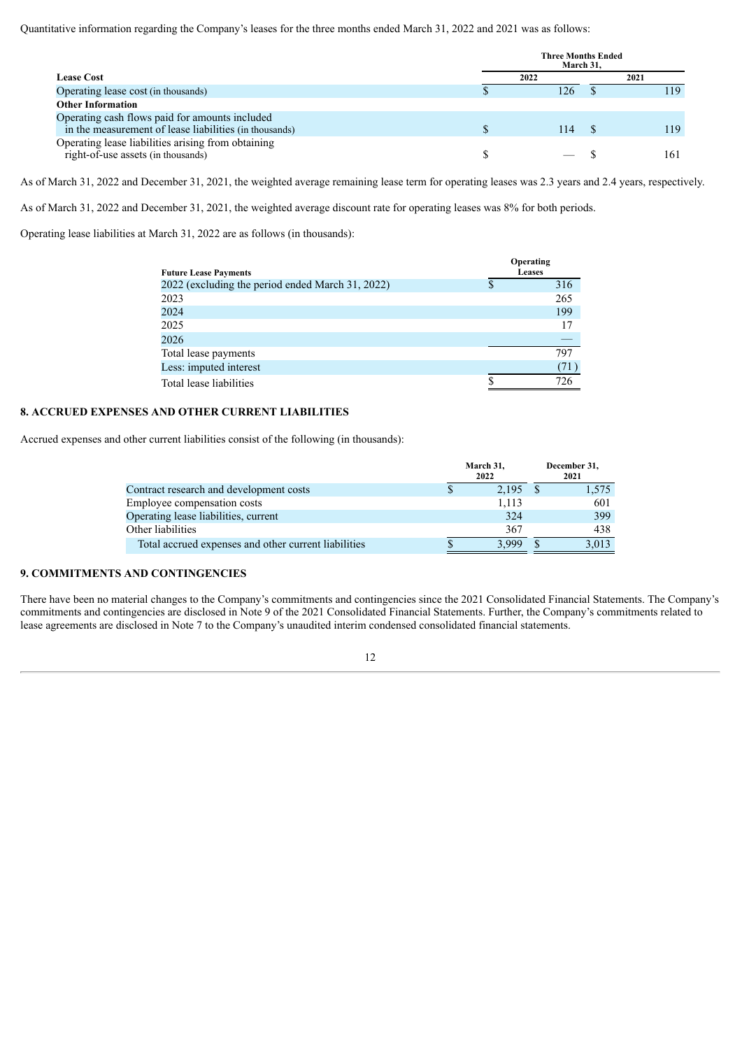Quantitative information regarding the Company's leases for the three months ended March 31, 2022 and 2021 was as follows:

|                                                                                                          | <b>Three Months Ended</b><br>March 31. |  |      |  |  |
|----------------------------------------------------------------------------------------------------------|----------------------------------------|--|------|--|--|
| Lease Cost                                                                                               | 2022                                   |  | 2021 |  |  |
| Operating lease cost (in thousands)                                                                      | 126                                    |  | 119  |  |  |
| <b>Other Information</b>                                                                                 |                                        |  |      |  |  |
| Operating cash flows paid for amounts included<br>in the measurement of lease liabilities (in thousands) | 114                                    |  | 119  |  |  |
| Operating lease liabilities arising from obtaining<br>right-of-use assets (in thousands)                 |                                        |  | 161  |  |  |

As of March 31, 2022 and December 31, 2021, the weighted average remaining lease term for operating leases was 2.3 years and 2.4 years, respectively.

As of March 31, 2022 and December 31, 2021, the weighted average discount rate for operating leases was 8% for both periods.

Operating lease liabilities at March 31, 2022 are as follows (in thousands):

| <b>Future Lease Payments</b>                     | Operating<br><b>Leases</b> |      |  |  |  |
|--------------------------------------------------|----------------------------|------|--|--|--|
| 2022 (excluding the period ended March 31, 2022) |                            | 316  |  |  |  |
| 2023                                             |                            | 265  |  |  |  |
| 2024                                             |                            | 199  |  |  |  |
| 2025                                             |                            | 17   |  |  |  |
| 2026                                             |                            |      |  |  |  |
| Total lease payments                             |                            | 797  |  |  |  |
| Less: imputed interest                           |                            | (71) |  |  |  |
| Total lease liabilities                          |                            |      |  |  |  |

#### **8. ACCRUED EXPENSES AND OTHER CURRENT LIABILITIES**

Accrued expenses and other current liabilities consist of the following (in thousands):

|                                                      | March 31,<br>2022 | December 31,<br>2021 |
|------------------------------------------------------|-------------------|----------------------|
| Contract research and development costs              | 2,195             | 1,575                |
| Employee compensation costs                          | 1.113             | 601                  |
| Operating lease liabilities, current                 | 324               | 399                  |
| Other liabilities                                    | 367               | 438                  |
| Total accrued expenses and other current liabilities | 3.999             | 3.013                |

## **9. COMMITMENTS AND CONTINGENCIES**

There have been no material changes to the Company's commitments and contingencies since the 2021 Consolidated Financial Statements. The Company's commitments and contingencies are disclosed in Note 9 of the 2021 Consolidated Financial Statements. Further, the Company's commitments related to lease agreements are disclosed in Note 7 to the Company's unaudited interim condensed consolidated financial statements.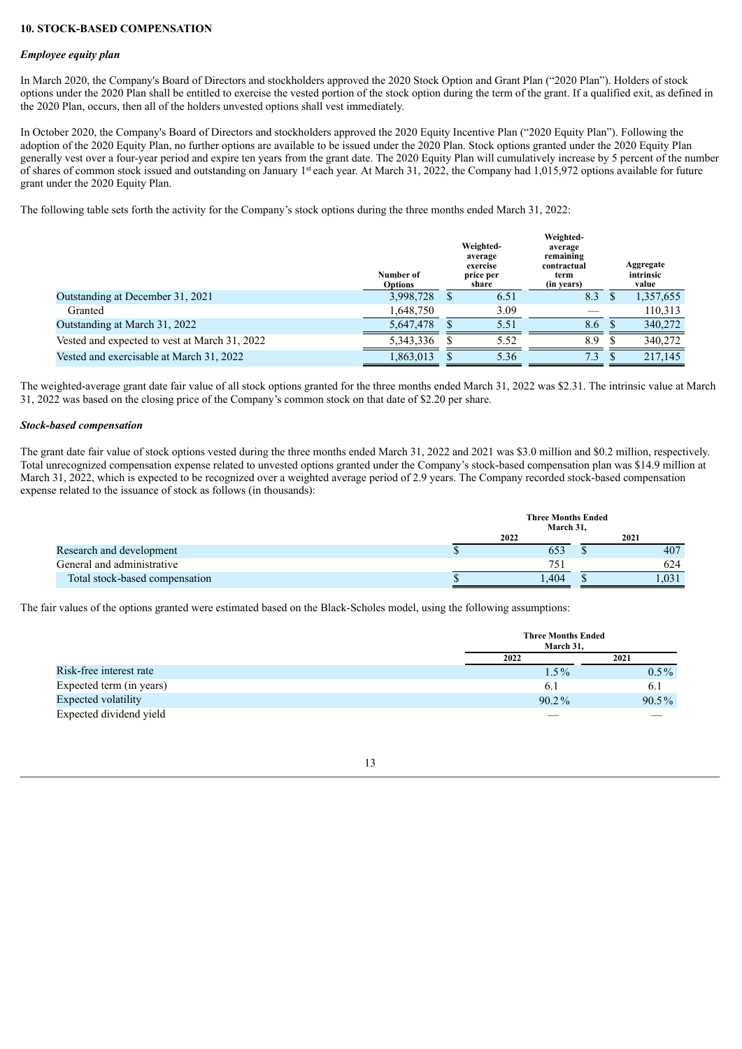#### **10. STOCK-BASED COMPENSATION**

#### *Employee equity plan*

In March 2020, the Company's Board of Directors and stockholders approved the 2020 Stock Option and Grant Plan ("2020 Plan"). Holders of stock options under the 2020 Plan shall be entitled to exercise the vested portion of the stock option during the term of the grant. If a qualified exit, as defined in the 2020 Plan, occurs, then all of the holders unvested options shall vest immediately.

In October 2020, the Company's Board of Directors and stockholders approved the 2020 Equity Incentive Plan ("2020 Equity Plan"). Following the adoption of the 2020 Equity Plan, no further options are available to be issued under the 2020 Plan. Stock options granted under the 2020 Equity Plan generally vest over a four-year period and expire ten years from the grant date. The 2020 Equity Plan will cumulatively increase by 5 percent of the number of shares of common stock issued and outstanding on January 1<sup>st</sup> each year. At March 31, 2022, the Company had 1,015,972 options available for future grant under the 2020 Equity Plan.

The following table sets forth the activity for the Company's stock options during the three months ended March 31, 2022:

|                                               | Number of<br><b>Options</b> | Weighted-<br>average<br>exercise<br>price per<br>share | Weighted-<br>average<br>remaining<br>contractual<br>term<br>(in years) | Aggregate<br>intrinsic<br>value |
|-----------------------------------------------|-----------------------------|--------------------------------------------------------|------------------------------------------------------------------------|---------------------------------|
| Outstanding at December 31, 2021              | 3,998,728                   | 6.51                                                   | 8.3                                                                    | 1,357,655                       |
| Granted                                       | 1,648,750                   | 3.09                                                   |                                                                        | 110,313                         |
| Outstanding at March 31, 2022                 | 5.647.478                   | 5.51                                                   | 8.6                                                                    | 340,272                         |
| Vested and expected to vest at March 31, 2022 | 5,343,336                   | 5.52                                                   | 8.9                                                                    | 340.272                         |
| Vested and exercisable at March 31, 2022      | 1,863,013                   | 5.36                                                   | 7.3                                                                    | 217.145                         |

The weighted-average grant date fair value of all stock options granted for the three months ended March 31, 2022 was \$2.31. The intrinsic value at March 31, 2022 was based on the closing price of the Company's common stock on that date of \$2.20 per share.

#### *Stock-based compensation*

The grant date fair value of stock options vested during the three months ended March 31, 2022 and 2021 was \$3.0 million and \$0.2 million, respectively. Total unrecognized compensation expense related to unvested options granted under the Company's stock-based compensation plan was \$14.9 million at March 31, 2022, which is expected to be recognized over a weighted average period of 2.9 years. The Company recorded stock-based compensation expense related to the issuance of stock as follows (in thousands):

|                                | <b>Three Months Ended</b><br>March 31. |       |
|--------------------------------|----------------------------------------|-------|
|                                | 2022                                   | 2021  |
| Research and development       | 653                                    | 407   |
| General and administrative     | 751                                    | 624   |
| Total stock-based compensation | .404                                   | 0.031 |

The fair values of the options granted were estimated based on the Black-Scholes model, using the following assumptions:

|                          | March 31, | <b>Three Months Ended</b> |  |  |
|--------------------------|-----------|---------------------------|--|--|
|                          | 2022      | 2021                      |  |  |
| Risk-free interest rate  | $1.5\%$   | $0.5\%$                   |  |  |
| Expected term (in years) | 6.1       | 6.1                       |  |  |
| Expected volatility      | $90.2\%$  | $90.5\%$                  |  |  |
| Expected dividend yield  |           |                           |  |  |

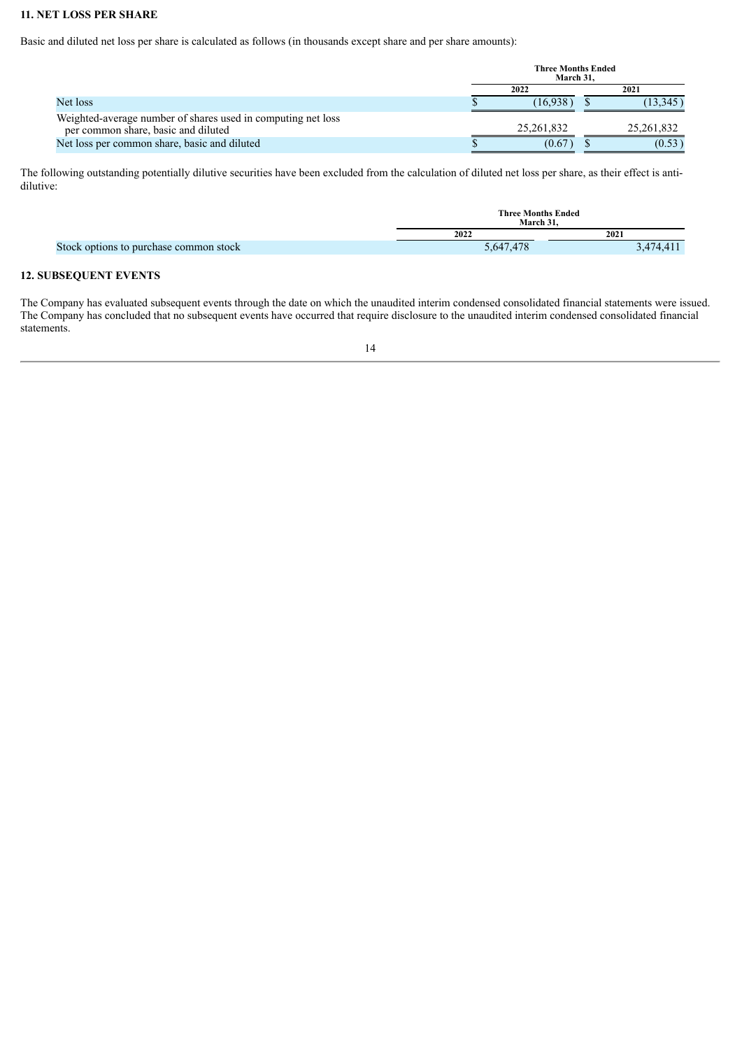## **11. NET LOSS PER SHARE**

Basic and diluted net loss per share is calculated as follows (in thousands except share and per share amounts):

|                                                                                                     | <b>Three Months Ended</b><br>March 31. |              |
|-----------------------------------------------------------------------------------------------------|----------------------------------------|--------------|
|                                                                                                     | 2022                                   | 2021         |
| Net loss                                                                                            | 16.938                                 | (13, 345)    |
| Weighted-average number of shares used in computing net loss<br>per common share, basic and diluted | 25, 261, 832                           | 25, 261, 832 |
| Net loss per common share, basic and diluted                                                        | (0.67)                                 | (0.53)       |

The following outstanding potentially dilutive securities have been excluded from the calculation of diluted net loss per share, as their effect is antidilutive:

|                                        | <b>Three Months Ended</b><br>March 31. |           |  |  |  |
|----------------------------------------|----------------------------------------|-----------|--|--|--|
|                                        | 2022                                   | 2021      |  |  |  |
| Stock options to purchase common stock | 5,647,478                              | 3,474,411 |  |  |  |

## **12. SUBSEQUENT EVENTS**

The Company has evaluated subsequent events through the date on which the unaudited interim condensed consolidated financial statements were issued. The Company has concluded that no subsequent events have occurred that require disclosure to the unaudited interim condensed consolidated financial statements.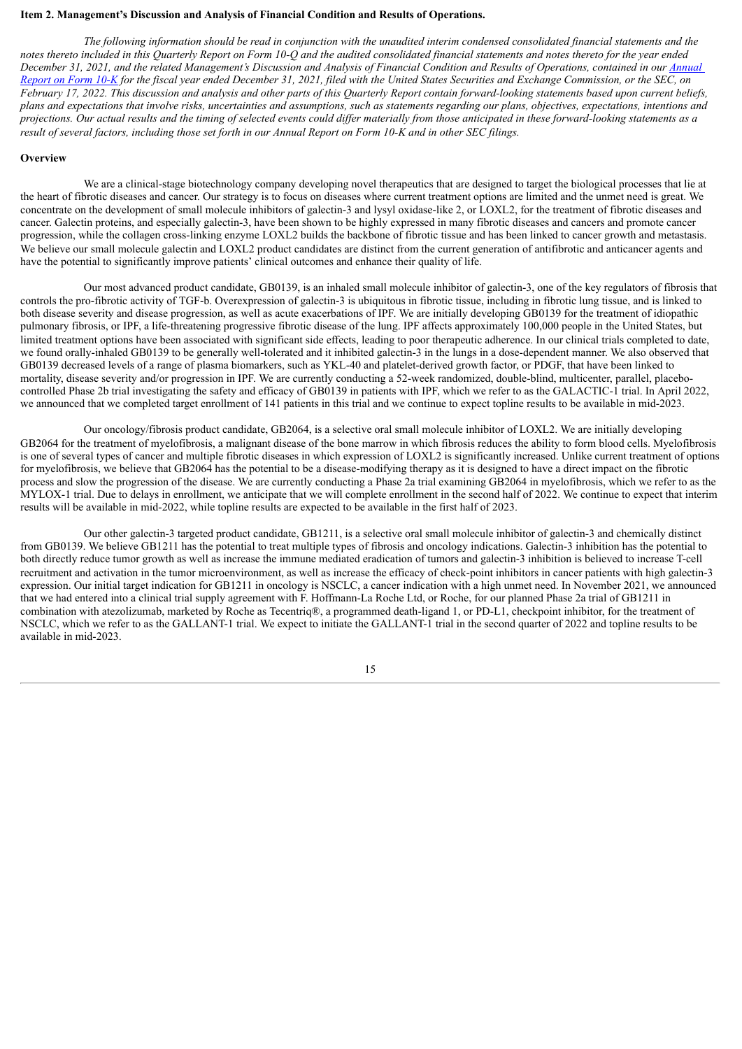#### <span id="page-15-0"></span>**Item 2. Management's Discussion and Analysis of Financial Condition and Results of Operations.**

The following information should be read in conjunction with the unaudited interim condensed consolidated financial statements and the notes thereto included in this Ouarterly Report on Form 10-O and the audited consolidated financial statements and notes thereto for the year ended December 31, 2021, and the related [Management's](https://www.sec.gov/ix?doc=/Archives/edgar/data/1800315/000156459022005569/glto-10k_20211231.htm) Discussion and Analysis of Financial Condition and Results of Operations, contained in our Annual Report on Form 10-K for the fiscal year ended December 31, 2021, filed with the United States Securities and Exchange Commission, or the SEC, on February 17, 2022. This discussion and analysis and other parts of this Quarterly Report contain forward-looking statements based upon current beliefs, plans and expectations that involve risks, uncertainties and assumptions, such as statements regarding our plans, objectives, expectations, intentions and projections. Our actual results and the timing of selected events could differ materially from those anticipated in these forward-looking statements as a result of several factors, including those set forth in our Annual Report on Form 10-K and in other SEC filings.

#### **Overview**

We are a clinical-stage biotechnology company developing novel therapeutics that are designed to target the biological processes that lie at the heart of fibrotic diseases and cancer. Our strategy is to focus on diseases where current treatment options are limited and the unmet need is great. We concentrate on the development of small molecule inhibitors of galectin-3 and lysyl oxidase-like 2, or LOXL2, for the treatment of fibrotic diseases and cancer. Galectin proteins, and especially galectin-3, have been shown to be highly expressed in many fibrotic diseases and cancers and promote cancer progression, while the collagen cross-linking enzyme LOXL2 builds the backbone of fibrotic tissue and has been linked to cancer growth and metastasis. We believe our small molecule galectin and LOXL2 product candidates are distinct from the current generation of antifibrotic and anticancer agents and have the potential to significantly improve patients' clinical outcomes and enhance their quality of life.

Our most advanced product candidate, GB0139, is an inhaled small molecule inhibitor of galectin-3, one of the key regulators of fibrosis that controls the pro-fibrotic activity of TGF-b. Overexpression of galectin-3 is ubiquitous in fibrotic tissue, including in fibrotic lung tissue, and is linked to both disease severity and disease progression, as well as acute exacerbations of IPF. We are initially developing GB0139 for the treatment of idiopathic pulmonary fibrosis, or IPF, a life-threatening progressive fibrotic disease of the lung. IPF affects approximately 100,000 people in the United States, but limited treatment options have been associated with significant side effects, leading to poor therapeutic adherence. In our clinical trials completed to date, we found orally-inhaled GB0139 to be generally well-tolerated and it inhibited galectin-3 in the lungs in a dose-dependent manner. We also observed that GB0139 decreased levels of a range of plasma biomarkers, such as YKL-40 and platelet-derived growth factor, or PDGF, that have been linked to mortality, disease severity and/or progression in IPF. We are currently conducting a 52-week randomized, double-blind, multicenter, parallel, placebocontrolled Phase 2b trial investigating the safety and efficacy of GB0139 in patients with IPF, which we refer to as the GALACTIC-1 trial. In April 2022, we announced that we completed target enrollment of 141 patients in this trial and we continue to expect topline results to be available in mid-2023.

Our oncology/fibrosis product candidate, GB2064, is a selective oral small molecule inhibitor of LOXL2. We are initially developing GB2064 for the treatment of myelofibrosis, a malignant disease of the bone marrow in which fibrosis reduces the ability to form blood cells. Myelofibrosis is one of several types of cancer and multiple fibrotic diseases in which expression of LOXL2 is significantly increased. Unlike current treatment of options for myelofibrosis, we believe that GB2064 has the potential to be a disease-modifying therapy as it is designed to have a direct impact on the fibrotic process and slow the progression of the disease. We are currently conducting a Phase 2a trial examining GB2064 in myelofibrosis, which we refer to as the MYLOX-1 trial. Due to delays in enrollment, we anticipate that we will complete enrollment in the second half of 2022. We continue to expect that interim results will be available in mid-2022, while topline results are expected to be available in the first half of 2023.

Our other galectin-3 targeted product candidate, GB1211, is a selective oral small molecule inhibitor of galectin-3 and chemically distinct from GB0139. We believe GB1211 has the potential to treat multiple types of fibrosis and oncology indications. Galectin-3 inhibition has the potential to both directly reduce tumor growth as well as increase the immune mediated eradication of tumors and galectin-3 inhibition is believed to increase T-cell recruitment and activation in the tumor microenvironment, as well as increase the efficacy of check-point inhibitors in cancer patients with high galectin-3 expression. Our initial target indication for GB1211 in oncology is NSCLC, a cancer indication with a high unmet need. In November 2021, we announced that we had entered into a clinical trial supply agreement with F. Hoffmann-La Roche Ltd, or Roche, for our planned Phase 2a trial of GB1211 in combination with atezolizumab, marketed by Roche as Tecentriq®, a programmed death-ligand 1, or PD-L1, checkpoint inhibitor, for the treatment of NSCLC, which we refer to as the GALLANT-1 trial. We expect to initiate the GALLANT-1 trial in the second quarter of 2022 and topline results to be available in mid-2023.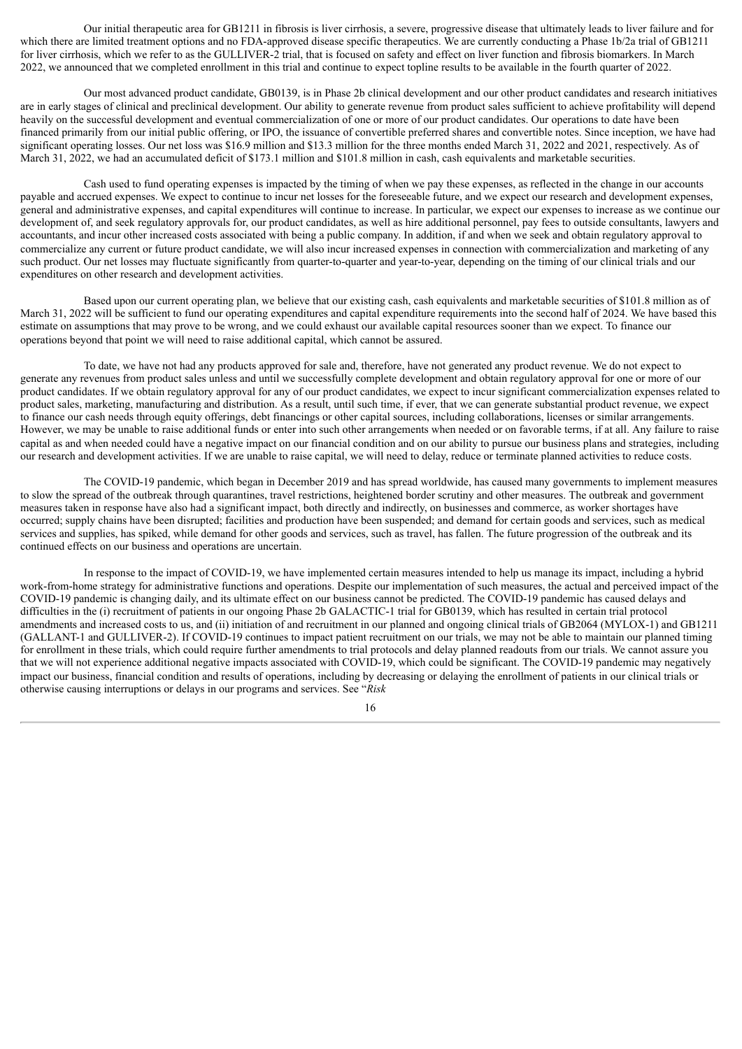Our initial therapeutic area for GB1211 in fibrosis is liver cirrhosis, a severe, progressive disease that ultimately leads to liver failure and for which there are limited treatment options and no FDA-approved disease specific therapeutics. We are currently conducting a Phase 1b/2a trial of GB1211 for liver cirrhosis, which we refer to as the GULLIVER-2 trial, that is focused on safety and effect on liver function and fibrosis biomarkers. In March 2022, we announced that we completed enrollment in this trial and continue to expect topline results to be available in the fourth quarter of 2022.

Our most advanced product candidate, GB0139, is in Phase 2b clinical development and our other product candidates and research initiatives are in early stages of clinical and preclinical development. Our ability to generate revenue from product sales sufficient to achieve profitability will depend heavily on the successful development and eventual commercialization of one or more of our product candidates. Our operations to date have been financed primarily from our initial public offering, or IPO, the issuance of convertible preferred shares and convertible notes. Since inception, we have had significant operating losses. Our net loss was \$16.9 million and \$13.3 million for the three months ended March 31, 2022 and 2021, respectively. As of March 31, 2022, we had an accumulated deficit of \$173.1 million and \$101.8 million in cash, cash equivalents and marketable securities.

Cash used to fund operating expenses is impacted by the timing of when we pay these expenses, as reflected in the change in our accounts payable and accrued expenses. We expect to continue to incur net losses for the foreseeable future, and we expect our research and development expenses, general and administrative expenses, and capital expenditures will continue to increase. In particular, we expect our expenses to increase as we continue our development of, and seek regulatory approvals for, our product candidates, as well as hire additional personnel, pay fees to outside consultants, lawyers and accountants, and incur other increased costs associated with being a public company. In addition, if and when we seek and obtain regulatory approval to commercialize any current or future product candidate, we will also incur increased expenses in connection with commercialization and marketing of any such product. Our net losses may fluctuate significantly from quarter-to-quarter and year-to-year, depending on the timing of our clinical trials and our expenditures on other research and development activities.

Based upon our current operating plan, we believe that our existing cash, cash equivalents and marketable securities of \$101.8 million as of March 31, 2022 will be sufficient to fund our operating expenditures and capital expenditure requirements into the second half of 2024. We have based this estimate on assumptions that may prove to be wrong, and we could exhaust our available capital resources sooner than we expect. To finance our operations beyond that point we will need to raise additional capital, which cannot be assured.

To date, we have not had any products approved for sale and, therefore, have not generated any product revenue. We do not expect to generate any revenues from product sales unless and until we successfully complete development and obtain regulatory approval for one or more of our product candidates. If we obtain regulatory approval for any of our product candidates, we expect to incur significant commercialization expenses related to product sales, marketing, manufacturing and distribution. As a result, until such time, if ever, that we can generate substantial product revenue, we expect to finance our cash needs through equity offerings, debt financings or other capital sources, including collaborations, licenses or similar arrangements. However, we may be unable to raise additional funds or enter into such other arrangements when needed or on favorable terms, if at all. Any failure to raise capital as and when needed could have a negative impact on our financial condition and on our ability to pursue our business plans and strategies, including our research and development activities. If we are unable to raise capital, we will need to delay, reduce or terminate planned activities to reduce costs.

The COVID-19 pandemic, which began in December 2019 and has spread worldwide, has caused many governments to implement measures to slow the spread of the outbreak through quarantines, travel restrictions, heightened border scrutiny and other measures. The outbreak and government measures taken in response have also had a significant impact, both directly and indirectly, on businesses and commerce, as worker shortages have occurred; supply chains have been disrupted; facilities and production have been suspended; and demand for certain goods and services, such as medical services and supplies, has spiked, while demand for other goods and services, such as travel, has fallen. The future progression of the outbreak and its continued effects on our business and operations are uncertain.

In response to the impact of COVID-19, we have implemented certain measures intended to help us manage its impact, including a hybrid work-from-home strategy for administrative functions and operations. Despite our implementation of such measures, the actual and perceived impact of the COVID-19 pandemic is changing daily, and its ultimate effect on our business cannot be predicted. The COVID-19 pandemic has caused delays and difficulties in the (i) recruitment of patients in our ongoing Phase 2b GALACTIC-1 trial for GB0139, which has resulted in certain trial protocol amendments and increased costs to us, and (ii) initiation of and recruitment in our planned and ongoing clinical trials of GB2064 (MYLOX-1) and GB1211 (GALLANT-1 and GULLIVER-2). If COVID-19 continues to impact patient recruitment on our trials, we may not be able to maintain our planned timing for enrollment in these trials, which could require further amendments to trial protocols and delay planned readouts from our trials. We cannot assure you that we will not experience additional negative impacts associated with COVID-19, which could be significant. The COVID-19 pandemic may negatively impact our business, financial condition and results of operations, including by decreasing or delaying the enrollment of patients in our clinical trials or otherwise causing interruptions or delays in our programs and services. See "*Risk*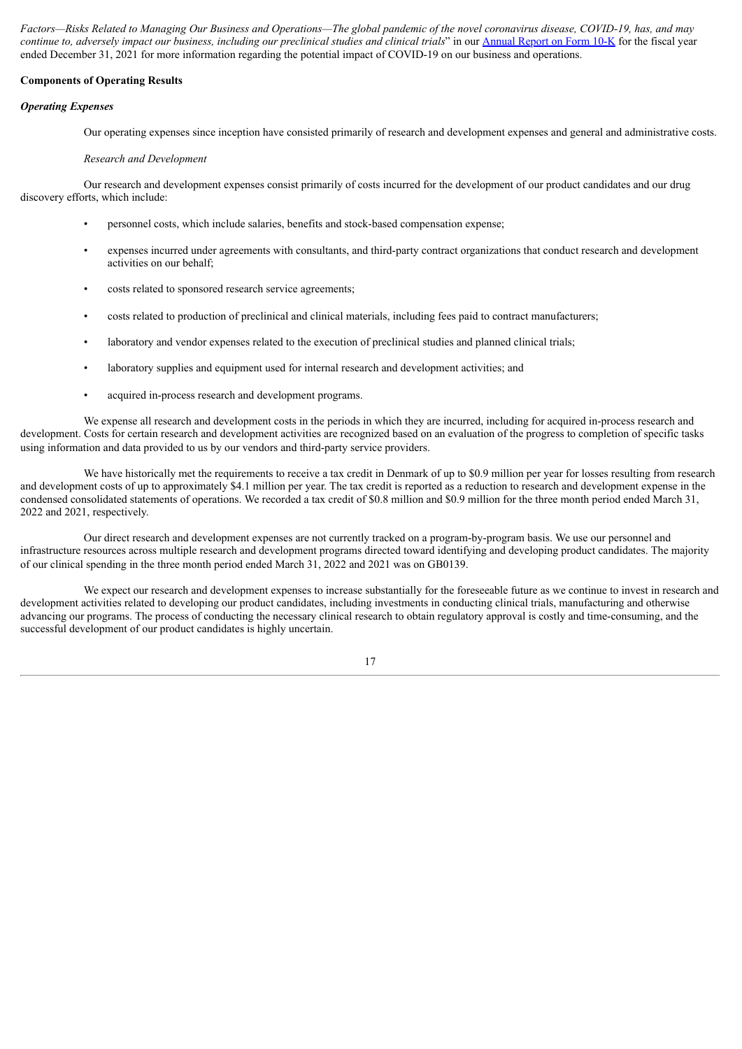Factors—Risks Related to Managing Our Business and Operations—The global pandemic of the novel coronavirus disease, COVID-19, has, and may continue to, adversely impact our business, including our preclinical studies and clinical trials" in our [Annual](https://www.sec.gov/ix?doc=/Archives/edgar/data/1800315/000156459022005569/glto-10k_20211231.htm) Report on Form 10-K for the fiscal year ended December 31, 2021 for more information regarding the potential impact of COVID-19 on our business and operations.

#### **Components of Operating Results**

#### *Operating Expenses*

Our operating expenses since inception have consisted primarily of research and development expenses and general and administrative costs.

#### *Research and Development*

Our research and development expenses consist primarily of costs incurred for the development of our product candidates and our drug discovery efforts, which include:

- personnel costs, which include salaries, benefits and stock-based compensation expense;
- expenses incurred under agreements with consultants, and third-party contract organizations that conduct research and development activities on our behalf;
- costs related to sponsored research service agreements;
- costs related to production of preclinical and clinical materials, including fees paid to contract manufacturers;
- laboratory and vendor expenses related to the execution of preclinical studies and planned clinical trials;
- laboratory supplies and equipment used for internal research and development activities; and
- acquired in-process research and development programs.

We expense all research and development costs in the periods in which they are incurred, including for acquired in-process research and development. Costs for certain research and development activities are recognized based on an evaluation of the progress to completion of specific tasks using information and data provided to us by our vendors and third-party service providers.

We have historically met the requirements to receive a tax credit in Denmark of up to \$0.9 million per year for losses resulting from research and development costs of up to approximately \$4.1 million per year. The tax credit is reported as a reduction to research and development expense in the condensed consolidated statements of operations. We recorded a tax credit of \$0.8 million and \$0.9 million for the three month period ended March 31, 2022 and 2021, respectively.

Our direct research and development expenses are not currently tracked on a program-by-program basis. We use our personnel and infrastructure resources across multiple research and development programs directed toward identifying and developing product candidates. The majority of our clinical spending in the three month period ended March 31, 2022 and 2021 was on GB0139.

We expect our research and development expenses to increase substantially for the foreseeable future as we continue to invest in research and development activities related to developing our product candidates, including investments in conducting clinical trials, manufacturing and otherwise advancing our programs. The process of conducting the necessary clinical research to obtain regulatory approval is costly and time-consuming, and the successful development of our product candidates is highly uncertain.

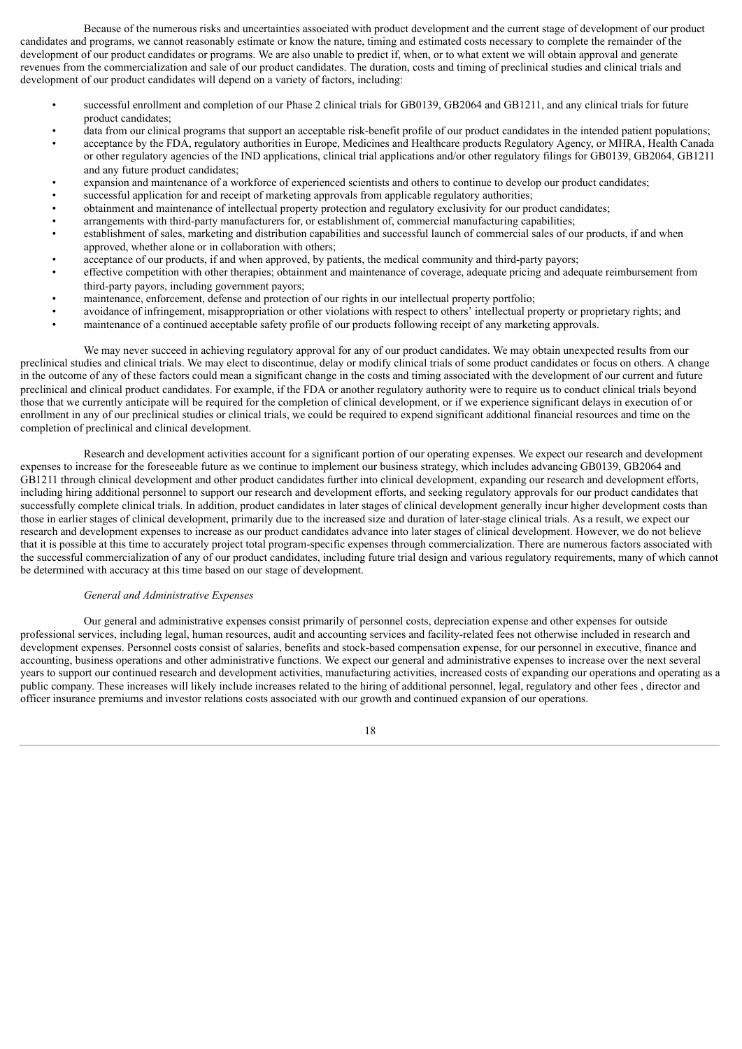Because of the numerous risks and uncertainties associated with product development and the current stage of development of our product candidates and programs, we cannot reasonably estimate or know the nature, timing and estimated costs necessary to complete the remainder of the development of our product candidates or programs. We are also unable to predict if, when, or to what extent we will obtain approval and generate revenues from the commercialization and sale of our product candidates. The duration, costs and timing of preclinical studies and clinical trials and development of our product candidates will depend on a variety of factors, including:

- successful enrollment and completion of our Phase 2 clinical trials for GB0139, GB2064 and GB1211, and any clinical trials for future product candidates;
- data from our clinical programs that support an acceptable risk-benefit profile of our product candidates in the intended patient populations;
- acceptance by the FDA, regulatory authorities in Europe, Medicines and Healthcare products Regulatory Agency, or MHRA, Health Canada or other regulatory agencies of the IND applications, clinical trial applications and/or other regulatory filings for GB0139, GB2064, GB1211 and any future product candidates;
- expansion and maintenance of a workforce of experienced scientists and others to continue to develop our product candidates;
- successful application for and receipt of marketing approvals from applicable regulatory authorities;
- obtainment and maintenance of intellectual property protection and regulatory exclusivity for our product candidates;
- arrangements with third-party manufacturers for, or establishment of, commercial manufacturing capabilities;
- establishment of sales, marketing and distribution capabilities and successful launch of commercial sales of our products, if and when approved, whether alone or in collaboration with others;
- acceptance of our products, if and when approved, by patients, the medical community and third-party payors; • effective competition with other therapies; obtainment and maintenance of coverage, adequate pricing and adequate reimbursement from
- third-party payors, including government payors;
- maintenance, enforcement, defense and protection of our rights in our intellectual property portfolio;
- avoidance of infringement, misappropriation or other violations with respect to others' intellectual property or proprietary rights; and
- maintenance of a continued acceptable safety profile of our products following receipt of any marketing approvals.

We may never succeed in achieving regulatory approval for any of our product candidates. We may obtain unexpected results from our preclinical studies and clinical trials. We may elect to discontinue, delay or modify clinical trials of some product candidates or focus on others. A change in the outcome of any of these factors could mean a significant change in the costs and timing associated with the development of our current and future preclinical and clinical product candidates. For example, if the FDA or another regulatory authority were to require us to conduct clinical trials beyond those that we currently anticipate will be required for the completion of clinical development, or if we experience significant delays in execution of or enrollment in any of our preclinical studies or clinical trials, we could be required to expend significant additional financial resources and time on the completion of preclinical and clinical development.

Research and development activities account for a significant portion of our operating expenses. We expect our research and development expenses to increase for the foreseeable future as we continue to implement our business strategy, which includes advancing GB0139, GB2064 and GB1211 through clinical development and other product candidates further into clinical development, expanding our research and development efforts, including hiring additional personnel to support our research and development efforts, and seeking regulatory approvals for our product candidates that successfully complete clinical trials. In addition, product candidates in later stages of clinical development generally incur higher development costs than those in earlier stages of clinical development, primarily due to the increased size and duration of later-stage clinical trials. As a result, we expect our research and development expenses to increase as our product candidates advance into later stages of clinical development. However, we do not believe that it is possible at this time to accurately project total program-specific expenses through commercialization. There are numerous factors associated with the successful commercialization of any of our product candidates, including future trial design and various regulatory requirements, many of which cannot be determined with accuracy at this time based on our stage of development.

#### *General and Administrative Expenses*

Our general and administrative expenses consist primarily of personnel costs, depreciation expense and other expenses for outside professional services, including legal, human resources, audit and accounting services and facility-related fees not otherwise included in research and development expenses. Personnel costs consist of salaries, benefits and stock-based compensation expense, for our personnel in executive, finance and accounting, business operations and other administrative functions. We expect our general and administrative expenses to increase over the next several years to support our continued research and development activities, manufacturing activities, increased costs of expanding our operations and operating as a public company. These increases will likely include increases related to the hiring of additional personnel, legal, regulatory and other fees , director and officer insurance premiums and investor relations costs associated with our growth and continued expansion of our operations.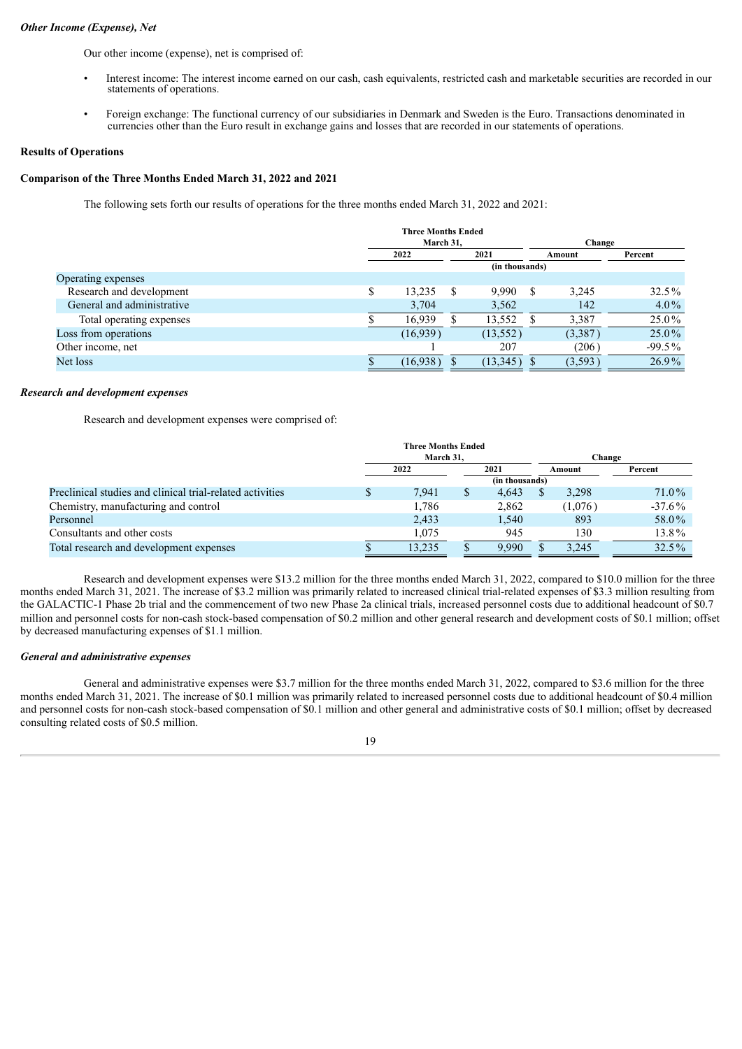#### *Other Income (Expense), Net*

Our other income (expense), net is comprised of:

- Interest income: The interest income earned on our cash, cash equivalents, restricted cash and marketable securities are recorded in our statements of operations.
- Foreign exchange: The functional currency of our subsidiaries in Denmark and Sweden is the Euro. Transactions denominated in currencies other than the Euro result in exchange gains and losses that are recorded in our statements of operations.

#### **Results of Operations**

#### **Comparison of the Three Months Ended March 31, 2022 and 2021**

The following sets forth our results of operations for the three months ended March 31, 2022 and 2021:

|                            | <b>Three Months Ended</b><br>March 31. |     |           |  | Change  |          |  |
|----------------------------|----------------------------------------|-----|-----------|--|---------|----------|--|
|                            | 2022                                   |     | 2021      |  | Amount  | Percent  |  |
|                            | (in thousands)                         |     |           |  |         |          |  |
| Operating expenses         |                                        |     |           |  |         |          |  |
| Research and development   | \$<br>13,235                           | \$. | 9.990     |  | 3.245   | $32.5\%$ |  |
| General and administrative | 3,704                                  |     | 3,562     |  | 142     | $4.0\%$  |  |
| Total operating expenses   | 16,939                                 |     | 13,552    |  | 3.387   | $25.0\%$ |  |
| Loss from operations       | (16,939)                               |     | (13, 552) |  | (3,387) | $25.0\%$ |  |
| Other income, net          |                                        |     | 207       |  | (206)   | $-99.5%$ |  |
| Net loss                   | (16,938)                               |     | (13,345)  |  | (3,593) | $26.9\%$ |  |

#### *Research and development expenses*

Research and development expenses were comprised of:

|                                                           | <b>Three Months Ended</b> |   |       |  |         |           |  |
|-----------------------------------------------------------|---------------------------|---|-------|--|---------|-----------|--|
|                                                           | March 31.                 |   |       |  | Change  |           |  |
|                                                           | 2022                      |   | 2021  |  | Amount  | Percent   |  |
|                                                           | (in thousands)            |   |       |  |         |           |  |
| Preclinical studies and clinical trial-related activities | 7,941                     | S | 4.643 |  | 3,298   | 71.0%     |  |
| Chemistry, manufacturing and control                      | 1.786                     |   | 2,862 |  | (1,076) | $-37.6\%$ |  |
| Personnel                                                 | 2,433                     |   | 1,540 |  | 893     | 58.0%     |  |
| Consultants and other costs                               | 1.075                     |   | 945   |  | 130     | 13.8%     |  |
| Total research and development expenses                   | 13,235                    |   | 9.990 |  | 3.245   | 32.5%     |  |

Research and development expenses were \$13.2 million for the three months ended March 31, 2022, compared to \$10.0 million for the three months ended March 31, 2021. The increase of \$3.2 million was primarily related to increased clinical trial-related expenses of \$3.3 million resulting from the GALACTIC-1 Phase 2b trial and the commencement of two new Phase 2a clinical trials, increased personnel costs due to additional headcount of \$0.7 million and personnel costs for non-cash stock-based compensation of \$0.2 million and other general research and development costs of \$0.1 million; offset by decreased manufacturing expenses of \$1.1 million.

#### *General and administrative expenses*

General and administrative expenses were \$3.7 million for the three months ended March 31, 2022, compared to \$3.6 million for the three months ended March 31, 2021. The increase of \$0.1 million was primarily related to increased personnel costs due to additional headcount of \$0.4 million and personnel costs for non-cash stock-based compensation of \$0.1 million and other general and administrative costs of \$0.1 million; offset by decreased consulting related costs of \$0.5 million.

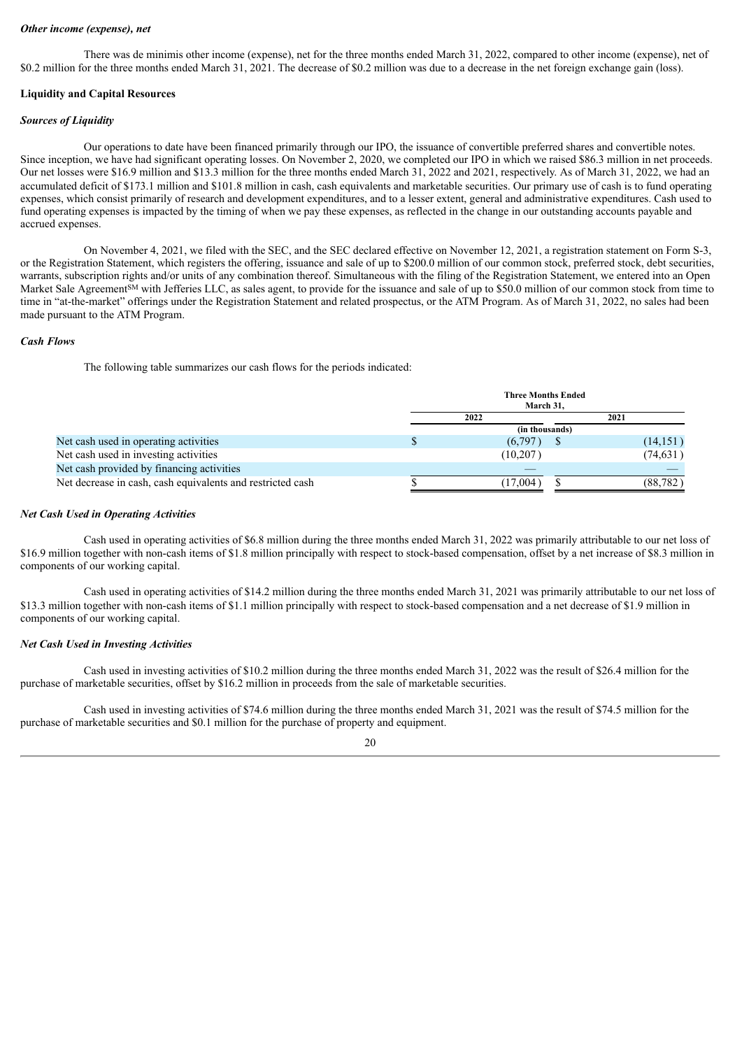#### *Other income (expense), net*

There was de minimis other income (expense), net for the three months ended March 31, 2022, compared to other income (expense), net of \$0.2 million for the three months ended March 31, 2021. The decrease of \$0.2 million was due to a decrease in the net foreign exchange gain (loss).

#### **Liquidity and Capital Resources**

#### *Sources of Liquidity*

Our operations to date have been financed primarily through our IPO, the issuance of convertible preferred shares and convertible notes. Since inception, we have had significant operating losses. On November 2, 2020, we completed our IPO in which we raised \$86.3 million in net proceeds. Our net losses were \$16.9 million and \$13.3 million for the three months ended March 31, 2022 and 2021, respectively. As of March 31, 2022, we had an accumulated deficit of \$173.1 million and \$101.8 million in cash, cash equivalents and marketable securities. Our primary use of cash is to fund operating expenses, which consist primarily of research and development expenditures, and to a lesser extent, general and administrative expenditures. Cash used to fund operating expenses is impacted by the timing of when we pay these expenses, as reflected in the change in our outstanding accounts payable and accrued expenses.

On November 4, 2021, we filed with the SEC, and the SEC declared effective on November 12, 2021, a registration statement on Form S-3, or the Registration Statement, which registers the offering, issuance and sale of up to \$200.0 million of our common stock, preferred stock, debt securities, warrants, subscription rights and/or units of any combination thereof. Simultaneous with the filing of the Registration Statement, we entered into an Open Market Sale Agreement<sup>SM</sup> with Jefferies LLC, as sales agent, to provide for the issuance and sale of up to \$50.0 million of our common stock from time to time in "at-the-market" offerings under the Registration Statement and related prospectus, or the ATM Program. As of March 31, 2022, no sales had been made pursuant to the ATM Program.

#### *Cash Flows*

The following table summarizes our cash flows for the periods indicated:

| <b>Three Months Ended</b><br>March 31, |                |           |  |  |  |
|----------------------------------------|----------------|-----------|--|--|--|
|                                        | 2021           |           |  |  |  |
|                                        | (in thousands) |           |  |  |  |
|                                        | (6,797)        | (14, 151) |  |  |  |
|                                        | (10,207)       | (74, 631) |  |  |  |
|                                        |                |           |  |  |  |
|                                        | (17,004)       | (88, 782) |  |  |  |
|                                        |                | 2022      |  |  |  |

#### *Net Cash Used in Operating Activities*

Cash used in operating activities of \$6.8 million during the three months ended March 31, 2022 was primarily attributable to our net loss of \$16.9 million together with non-cash items of \$1.8 million principally with respect to stock-based compensation, offset by a net increase of \$8.3 million in components of our working capital.

Cash used in operating activities of \$14.2 million during the three months ended March 31, 2021 was primarily attributable to our net loss of \$13.3 million together with non-cash items of \$1.1 million principally with respect to stock-based compensation and a net decrease of \$1.9 million in components of our working capital.

#### *Net Cash Used in Investing Activities*

Cash used in investing activities of \$10.2 million during the three months ended March 31, 2022 was the result of \$26.4 million for the purchase of marketable securities, offset by \$16.2 million in proceeds from the sale of marketable securities.

Cash used in investing activities of \$74.6 million during the three months ended March 31, 2021 was the result of \$74.5 million for the purchase of marketable securities and \$0.1 million for the purchase of property and equipment.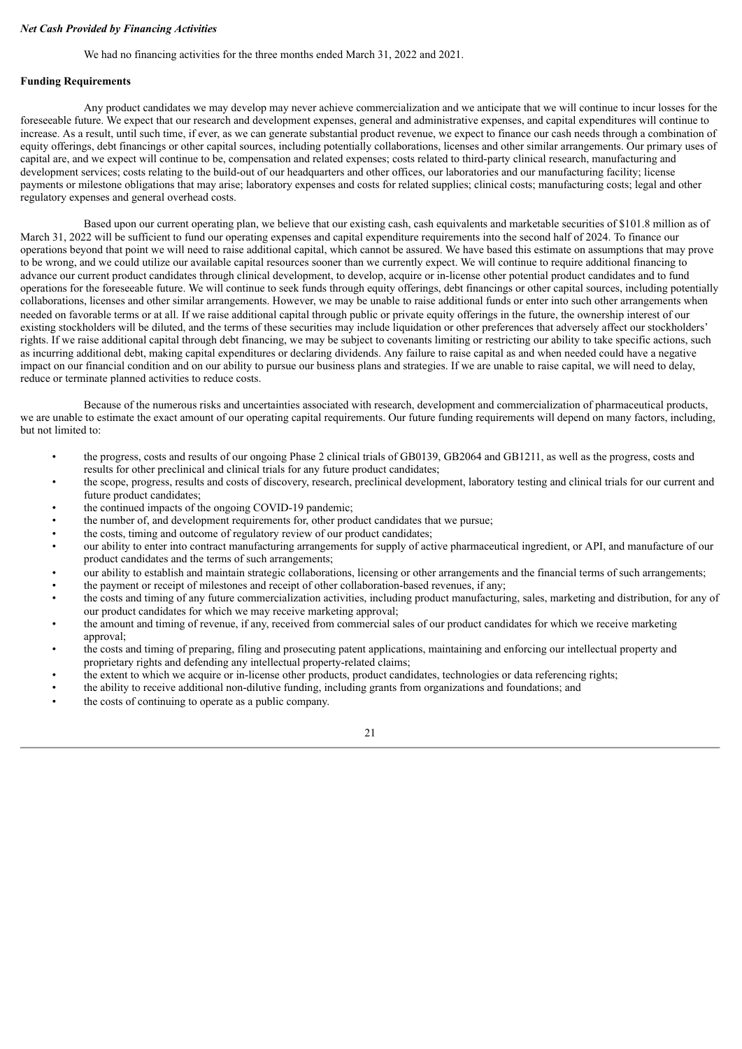#### *Net Cash Provided by Financing Activities*

We had no financing activities for the three months ended March 31, 2022 and 2021.

#### **Funding Requirements**

Any product candidates we may develop may never achieve commercialization and we anticipate that we will continue to incur losses for the foreseeable future. We expect that our research and development expenses, general and administrative expenses, and capital expenditures will continue to increase. As a result, until such time, if ever, as we can generate substantial product revenue, we expect to finance our cash needs through a combination of equity offerings, debt financings or other capital sources, including potentially collaborations, licenses and other similar arrangements. Our primary uses of capital are, and we expect will continue to be, compensation and related expenses; costs related to third-party clinical research, manufacturing and development services; costs relating to the build-out of our headquarters and other offices, our laboratories and our manufacturing facility; license payments or milestone obligations that may arise; laboratory expenses and costs for related supplies; clinical costs; manufacturing costs; legal and other regulatory expenses and general overhead costs.

Based upon our current operating plan, we believe that our existing cash, cash equivalents and marketable securities of \$101.8 million as of March 31, 2022 will be sufficient to fund our operating expenses and capital expenditure requirements into the second half of 2024. To finance our operations beyond that point we will need to raise additional capital, which cannot be assured. We have based this estimate on assumptions that may prove to be wrong, and we could utilize our available capital resources sooner than we currently expect. We will continue to require additional financing to advance our current product candidates through clinical development, to develop, acquire or in-license other potential product candidates and to fund operations for the foreseeable future. We will continue to seek funds through equity offerings, debt financings or other capital sources, including potentially collaborations, licenses and other similar arrangements. However, we may be unable to raise additional funds or enter into such other arrangements when needed on favorable terms or at all. If we raise additional capital through public or private equity offerings in the future, the ownership interest of our existing stockholders will be diluted, and the terms of these securities may include liquidation or other preferences that adversely affect our stockholders' rights. If we raise additional capital through debt financing, we may be subject to covenants limiting or restricting our ability to take specific actions, such as incurring additional debt, making capital expenditures or declaring dividends. Any failure to raise capital as and when needed could have a negative impact on our financial condition and on our ability to pursue our business plans and strategies. If we are unable to raise capital, we will need to delay, reduce or terminate planned activities to reduce costs.

Because of the numerous risks and uncertainties associated with research, development and commercialization of pharmaceutical products, we are unable to estimate the exact amount of our operating capital requirements. Our future funding requirements will depend on many factors, including, but not limited to:

- the progress, costs and results of our ongoing Phase 2 clinical trials of GB0139, GB2064 and GB1211, as well as the progress, costs and results for other preclinical and clinical trials for any future product candidates;
- the scope, progress, results and costs of discovery, research, preclinical development, laboratory testing and clinical trials for our current and future product candidates;
- the continued impacts of the ongoing COVID-19 pandemic;
- the number of, and development requirements for, other product candidates that we pursue;
- the costs, timing and outcome of regulatory review of our product candidates;
- our ability to enter into contract manufacturing arrangements for supply of active pharmaceutical ingredient, or API, and manufacture of our product candidates and the terms of such arrangements;
- our ability to establish and maintain strategic collaborations, licensing or other arrangements and the financial terms of such arrangements;
- the payment or receipt of milestones and receipt of other collaboration-based revenues, if any;
- the costs and timing of any future commercialization activities, including product manufacturing, sales, marketing and distribution, for any of our product candidates for which we may receive marketing approval;
- the amount and timing of revenue, if any, received from commercial sales of our product candidates for which we receive marketing approval;
- the costs and timing of preparing, filing and prosecuting patent applications, maintaining and enforcing our intellectual property and proprietary rights and defending any intellectual property-related claims;
- the extent to which we acquire or in-license other products, product candidates, technologies or data referencing rights;
- the ability to receive additional non-dilutive funding, including grants from organizations and foundations; and
- the costs of continuing to operate as a public company.

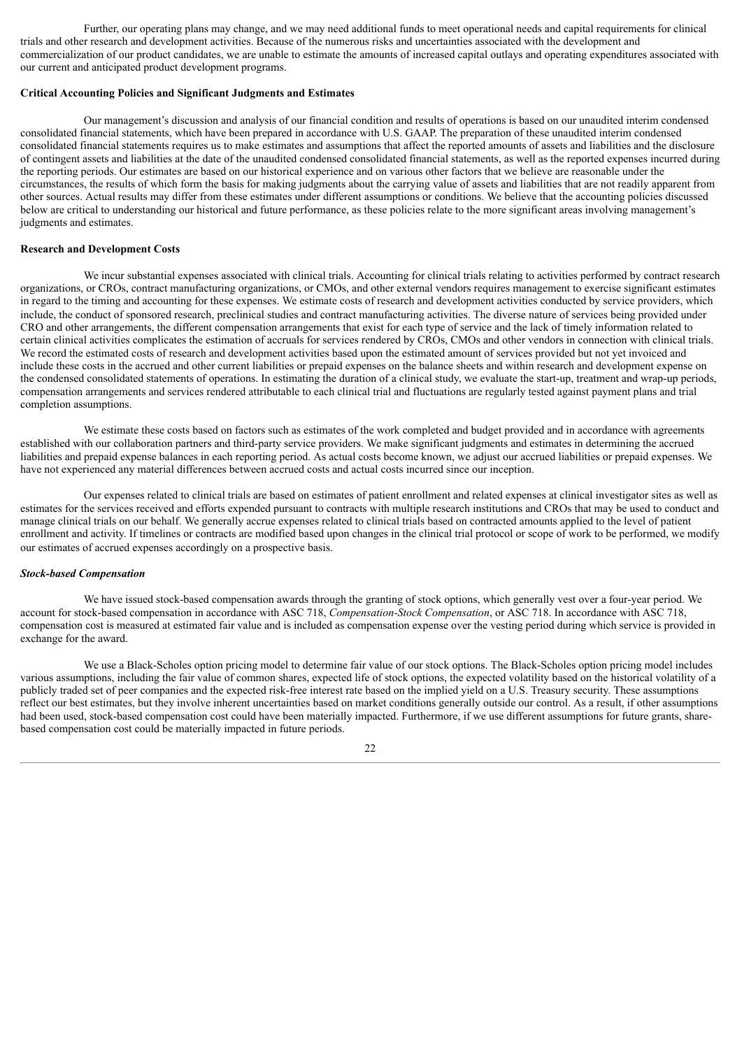Further, our operating plans may change, and we may need additional funds to meet operational needs and capital requirements for clinical trials and other research and development activities. Because of the numerous risks and uncertainties associated with the development and commercialization of our product candidates, we are unable to estimate the amounts of increased capital outlays and operating expenditures associated with our current and anticipated product development programs.

#### **Critical Accounting Policies and Significant Judgments and Estimates**

Our management's discussion and analysis of our financial condition and results of operations is based on our unaudited interim condensed consolidated financial statements, which have been prepared in accordance with U.S. GAAP. The preparation of these unaudited interim condensed consolidated financial statements requires us to make estimates and assumptions that affect the reported amounts of assets and liabilities and the disclosure of contingent assets and liabilities at the date of the unaudited condensed consolidated financial statements, as well as the reported expenses incurred during the reporting periods. Our estimates are based on our historical experience and on various other factors that we believe are reasonable under the circumstances, the results of which form the basis for making judgments about the carrying value of assets and liabilities that are not readily apparent from other sources. Actual results may differ from these estimates under different assumptions or conditions. We believe that the accounting policies discussed below are critical to understanding our historical and future performance, as these policies relate to the more significant areas involving management's judgments and estimates.

#### **Research and Development Costs**

We incur substantial expenses associated with clinical trials. Accounting for clinical trials relating to activities performed by contract research organizations, or CROs, contract manufacturing organizations, or CMOs, and other external vendors requires management to exercise significant estimates in regard to the timing and accounting for these expenses. We estimate costs of research and development activities conducted by service providers, which include, the conduct of sponsored research, preclinical studies and contract manufacturing activities. The diverse nature of services being provided under CRO and other arrangements, the different compensation arrangements that exist for each type of service and the lack of timely information related to certain clinical activities complicates the estimation of accruals for services rendered by CROs, CMOs and other vendors in connection with clinical trials. We record the estimated costs of research and development activities based upon the estimated amount of services provided but not yet invoiced and include these costs in the accrued and other current liabilities or prepaid expenses on the balance sheets and within research and development expense on the condensed consolidated statements of operations. In estimating the duration of a clinical study, we evaluate the start-up, treatment and wrap-up periods, compensation arrangements and services rendered attributable to each clinical trial and fluctuations are regularly tested against payment plans and trial completion assumptions.

We estimate these costs based on factors such as estimates of the work completed and budget provided and in accordance with agreements established with our collaboration partners and third-party service providers. We make significant judgments and estimates in determining the accrued liabilities and prepaid expense balances in each reporting period. As actual costs become known, we adjust our accrued liabilities or prepaid expenses. We have not experienced any material differences between accrued costs and actual costs incurred since our inception.

Our expenses related to clinical trials are based on estimates of patient enrollment and related expenses at clinical investigator sites as well as estimates for the services received and efforts expended pursuant to contracts with multiple research institutions and CROs that may be used to conduct and manage clinical trials on our behalf. We generally accrue expenses related to clinical trials based on contracted amounts applied to the level of patient enrollment and activity. If timelines or contracts are modified based upon changes in the clinical trial protocol or scope of work to be performed, we modify our estimates of accrued expenses accordingly on a prospective basis.

#### *Stock-based Compensation*

We have issued stock-based compensation awards through the granting of stock options, which generally vest over a four-year period. We account for stock-based compensation in accordance with ASC 718, *Compensation-Stock Compensation*, or ASC 718. In accordance with ASC 718, compensation cost is measured at estimated fair value and is included as compensation expense over the vesting period during which service is provided in exchange for the award.

We use a Black-Scholes option pricing model to determine fair value of our stock options. The Black-Scholes option pricing model includes various assumptions, including the fair value of common shares, expected life of stock options, the expected volatility based on the historical volatility of a publicly traded set of peer companies and the expected risk-free interest rate based on the implied yield on a U.S. Treasury security. These assumptions reflect our best estimates, but they involve inherent uncertainties based on market conditions generally outside our control. As a result, if other assumptions had been used, stock-based compensation cost could have been materially impacted. Furthermore, if we use different assumptions for future grants, sharebased compensation cost could be materially impacted in future periods.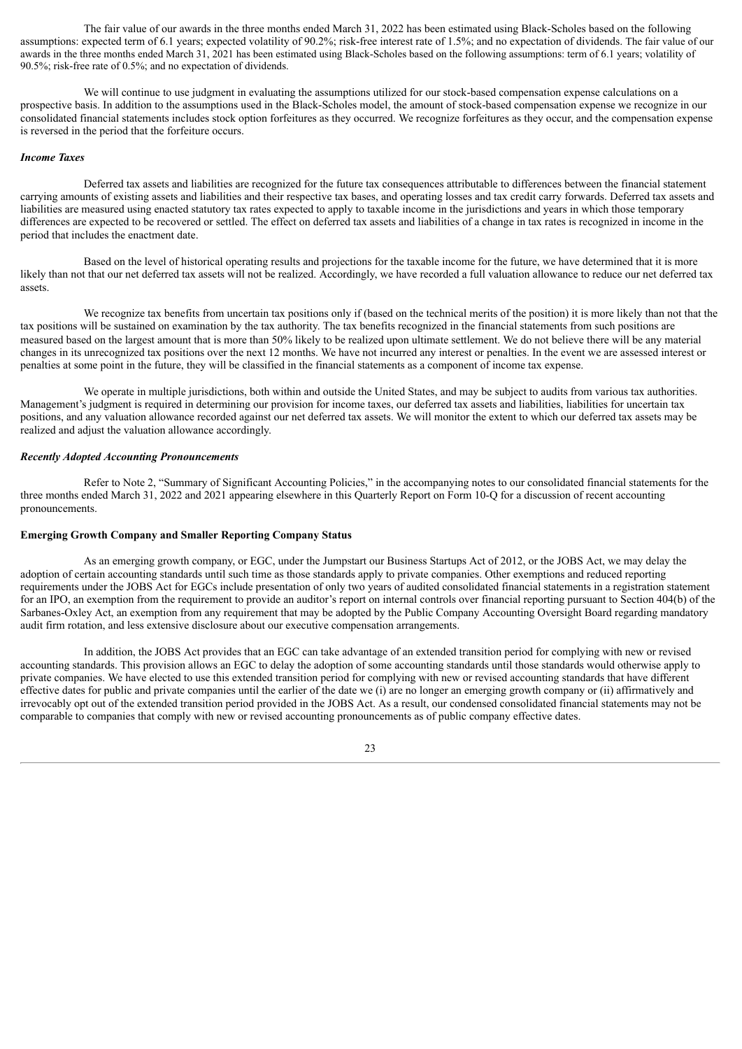The fair value of our awards in the three months ended March 31, 2022 has been estimated using Black-Scholes based on the following assumptions: expected term of 6.1 years; expected volatility of 90.2%; risk-free interest rate of 1.5%; and no expectation of dividends. The fair value of our awards in the three months ended March 31, 2021 has been estimated using Black-Scholes based on the following assumptions: term of 6.1 years; volatility of 90.5%; risk-free rate of 0.5%; and no expectation of dividends.

We will continue to use judgment in evaluating the assumptions utilized for our stock-based compensation expense calculations on a prospective basis. In addition to the assumptions used in the Black-Scholes model, the amount of stock-based compensation expense we recognize in our consolidated financial statements includes stock option forfeitures as they occurred. We recognize forfeitures as they occur, and the compensation expense is reversed in the period that the forfeiture occurs.

#### *Income Taxes*

Deferred tax assets and liabilities are recognized for the future tax consequences attributable to differences between the financial statement carrying amounts of existing assets and liabilities and their respective tax bases, and operating losses and tax credit carry forwards. Deferred tax assets and liabilities are measured using enacted statutory tax rates expected to apply to taxable income in the jurisdictions and years in which those temporary differences are expected to be recovered or settled. The effect on deferred tax assets and liabilities of a change in tax rates is recognized in income in the period that includes the enactment date.

Based on the level of historical operating results and projections for the taxable income for the future, we have determined that it is more likely than not that our net deferred tax assets will not be realized. Accordingly, we have recorded a full valuation allowance to reduce our net deferred tax assets.

We recognize tax benefits from uncertain tax positions only if (based on the technical merits of the position) it is more likely than not that the tax positions will be sustained on examination by the tax authority. The tax benefits recognized in the financial statements from such positions are measured based on the largest amount that is more than 50% likely to be realized upon ultimate settlement. We do not believe there will be any material changes in its unrecognized tax positions over the next 12 months. We have not incurred any interest or penalties. In the event we are assessed interest or penalties at some point in the future, they will be classified in the financial statements as a component of income tax expense.

We operate in multiple jurisdictions, both within and outside the United States, and may be subject to audits from various tax authorities. Management's judgment is required in determining our provision for income taxes, our deferred tax assets and liabilities, liabilities for uncertain tax positions, and any valuation allowance recorded against our net deferred tax assets. We will monitor the extent to which our deferred tax assets may be realized and adjust the valuation allowance accordingly.

#### *Recently Adopted Accounting Pronouncements*

Refer to Note 2, "Summary of Significant Accounting Policies," in the accompanying notes to our consolidated financial statements for the three months ended March 31, 2022 and 2021 appearing elsewhere in this Quarterly Report on Form 10-Q for a discussion of recent accounting pronouncements.

#### **Emerging Growth Company and Smaller Reporting Company Status**

As an emerging growth company, or EGC, under the Jumpstart our Business Startups Act of 2012, or the JOBS Act, we may delay the adoption of certain accounting standards until such time as those standards apply to private companies. Other exemptions and reduced reporting requirements under the JOBS Act for EGCs include presentation of only two years of audited consolidated financial statements in a registration statement for an IPO, an exemption from the requirement to provide an auditor's report on internal controls over financial reporting pursuant to Section 404(b) of the Sarbanes-Oxley Act, an exemption from any requirement that may be adopted by the Public Company Accounting Oversight Board regarding mandatory audit firm rotation, and less extensive disclosure about our executive compensation arrangements.

In addition, the JOBS Act provides that an EGC can take advantage of an extended transition period for complying with new or revised accounting standards. This provision allows an EGC to delay the adoption of some accounting standards until those standards would otherwise apply to private companies. We have elected to use this extended transition period for complying with new or revised accounting standards that have different effective dates for public and private companies until the earlier of the date we (i) are no longer an emerging growth company or (ii) affirmatively and irrevocably opt out of the extended transition period provided in the JOBS Act. As a result, our condensed consolidated financial statements may not be comparable to companies that comply with new or revised accounting pronouncements as of public company effective dates.

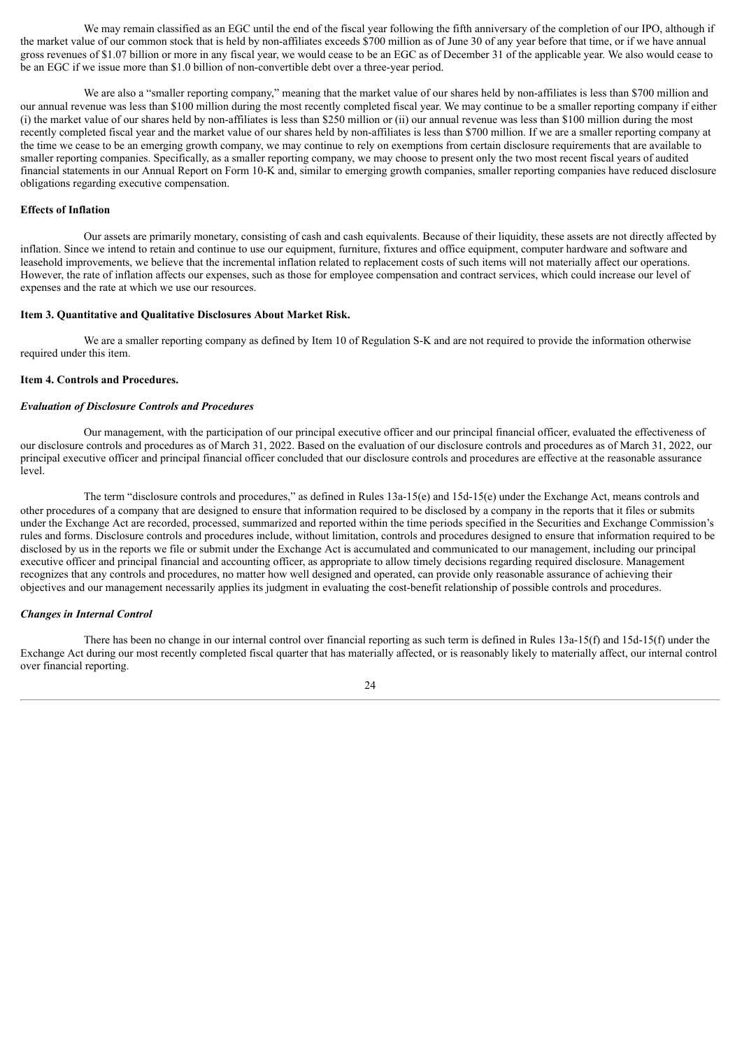We may remain classified as an EGC until the end of the fiscal year following the fifth anniversary of the completion of our IPO, although if the market value of our common stock that is held by non-affiliates exceeds \$700 million as of June 30 of any year before that time, or if we have annual gross revenues of \$1.07 billion or more in any fiscal year, we would cease to be an EGC as of December 31 of the applicable year. We also would cease to be an EGC if we issue more than \$1.0 billion of non-convertible debt over a three-year period.

We are also a "smaller reporting company," meaning that the market value of our shares held by non-affiliates is less than \$700 million and our annual revenue was less than \$100 million during the most recently completed fiscal year. We may continue to be a smaller reporting company if either (i) the market value of our shares held by non-affiliates is less than \$250 million or (ii) our annual revenue was less than \$100 million during the most recently completed fiscal year and the market value of our shares held by non-affiliates is less than \$700 million. If we are a smaller reporting company at the time we cease to be an emerging growth company, we may continue to rely on exemptions from certain disclosure requirements that are available to smaller reporting companies. Specifically, as a smaller reporting company, we may choose to present only the two most recent fiscal years of audited financial statements in our Annual Report on Form 10-K and, similar to emerging growth companies, smaller reporting companies have reduced disclosure obligations regarding executive compensation.

#### **Effects of Inflation**

Our assets are primarily monetary, consisting of cash and cash equivalents. Because of their liquidity, these assets are not directly affected by inflation. Since we intend to retain and continue to use our equipment, furniture, fixtures and office equipment, computer hardware and software and leasehold improvements, we believe that the incremental inflation related to replacement costs of such items will not materially affect our operations. However, the rate of inflation affects our expenses, such as those for employee compensation and contract services, which could increase our level of expenses and the rate at which we use our resources.

#### <span id="page-24-0"></span>**Item 3. Quantitative and Qualitative Disclosures About Market Risk.**

We are a smaller reporting company as defined by Item 10 of Regulation S-K and are not required to provide the information otherwise required under this item.

#### <span id="page-24-1"></span>**Item 4. Controls and Procedures.**

#### *Evaluation of Disclosure Controls and Procedures*

Our management, with the participation of our principal executive officer and our principal financial officer, evaluated the effectiveness of our disclosure controls and procedures as of March 31, 2022. Based on the evaluation of our disclosure controls and procedures as of March 31, 2022, our principal executive officer and principal financial officer concluded that our disclosure controls and procedures are effective at the reasonable assurance level.

The term "disclosure controls and procedures," as defined in Rules 13a-15(e) and 15d-15(e) under the Exchange Act, means controls and other procedures of a company that are designed to ensure that information required to be disclosed by a company in the reports that it files or submits under the Exchange Act are recorded, processed, summarized and reported within the time periods specified in the Securities and Exchange Commission's rules and forms. Disclosure controls and procedures include, without limitation, controls and procedures designed to ensure that information required to be disclosed by us in the reports we file or submit under the Exchange Act is accumulated and communicated to our management, including our principal executive officer and principal financial and accounting officer, as appropriate to allow timely decisions regarding required disclosure. Management recognizes that any controls and procedures, no matter how well designed and operated, can provide only reasonable assurance of achieving their objectives and our management necessarily applies its judgment in evaluating the cost-benefit relationship of possible controls and procedures.

#### *Changes in Internal Control*

There has been no change in our internal control over financial reporting as such term is defined in Rules 13a-15(f) and 15d-15(f) under the Exchange Act during our most recently completed fiscal quarter that has materially affected, or is reasonably likely to materially affect, our internal control over financial reporting.

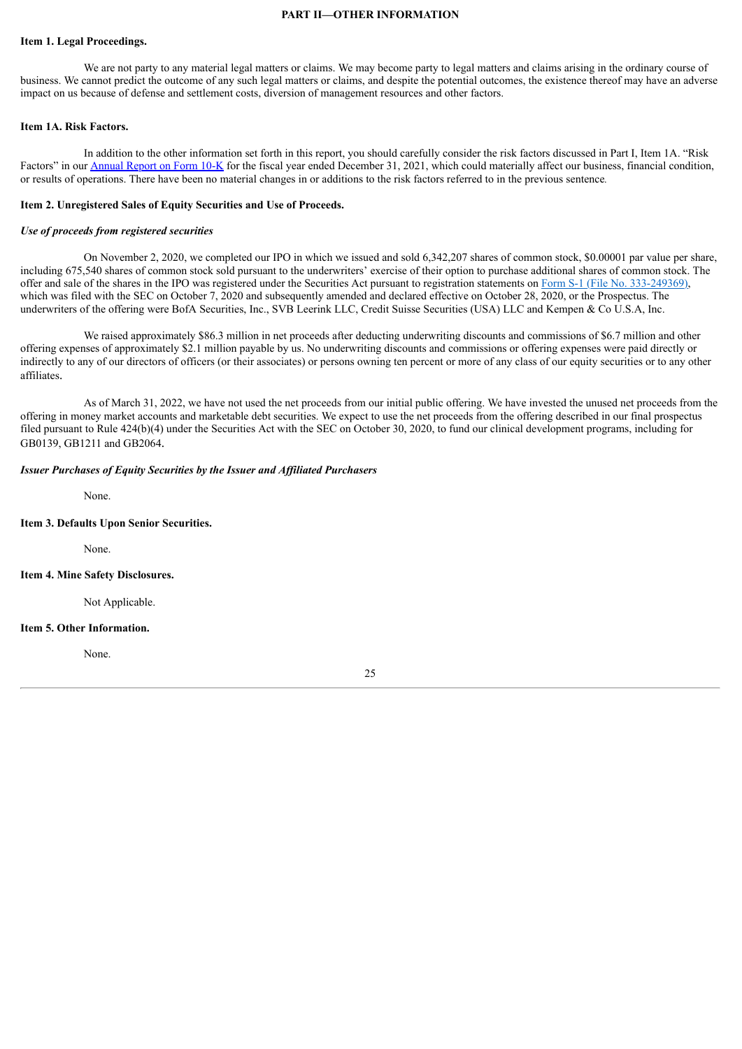#### **PART II—OTHER INFORMATION**

#### <span id="page-25-0"></span>**Item 1. Legal Proceedings.**

We are not party to any material legal matters or claims. We may become party to legal matters and claims arising in the ordinary course of business. We cannot predict the outcome of any such legal matters or claims, and despite the potential outcomes, the existence thereof may have an adverse impact on us because of defense and settlement costs, diversion of management resources and other factors.

#### <span id="page-25-1"></span>**Item 1A. Risk Factors.**

In addition to the other information set forth in this report, you should carefully consider the risk factors discussed in Part I, Item 1A. "Risk Factors" in our [Annual](https://www.sec.gov/ix?doc=/Archives/edgar/data/1800315/000156459022005569/glto-10k_20211231.htm) Report on Form 10-K for the fiscal year ended December 31, 2021, which could materially affect our business, financial condition, or results of operations. There have been no material changes in or additions to the risk factors referred to in the previous sentence*.*

#### <span id="page-25-2"></span>**Item 2. Unregistered Sales of Equity Securities and Use of Proceeds.**

#### *Use of proceeds from registered securities*

On November 2, 2020, we completed our IPO in which we issued and sold 6,342,207 shares of common stock, \$0.00001 par value per share, including 675,540 shares of common stock sold pursuant to the underwriters' exercise of their option to purchase additional shares of common stock. The offer and sale of the shares in the IPO was registered under the Securities Act pursuant to registration statements on Form S-1 (File No. [333-249369\)](https://www.sec.gov/Archives/edgar/data/0001800315/000119312520265628/d39338ds1.htm), which was filed with the SEC on October 7, 2020 and subsequently amended and declared effective on October 28, 2020, or the Prospectus. The underwriters of the offering were BofA Securities, Inc., SVB Leerink LLC, Credit Suisse Securities (USA) LLC and Kempen & Co U.S.A, Inc.

We raised approximately \$86.3 million in net proceeds after deducting underwriting discounts and commissions of \$6.7 million and other offering expenses of approximately \$2.1 million payable by us. No underwriting discounts and commissions or offering expenses were paid directly or indirectly to any of our directors of officers (or their associates) or persons owning ten percent or more of any class of our equity securities or to any other affiliates.

As of March 31, 2022, we have not used the net proceeds from our initial public offering. We have invested the unused net proceeds from the offering in money market accounts and marketable debt securities. We expect to use the net proceeds from the offering described in our final prospectus filed pursuant to Rule 424(b)(4) under the Securities Act with the SEC on October 30, 2020, to fund our clinical development programs, including for GB0139, GB1211 and GB2064.

#### *Issuer Purchases of Equity Securities by the Issuer and Af iliated Purchasers*

None.

#### <span id="page-25-3"></span>**Item 3. Defaults Upon Senior Securities.**

None.

#### <span id="page-25-4"></span>**Item 4. Mine Safety Disclosures.**

Not Applicable.

#### <span id="page-25-5"></span>**Item 5. Other Information.**

None.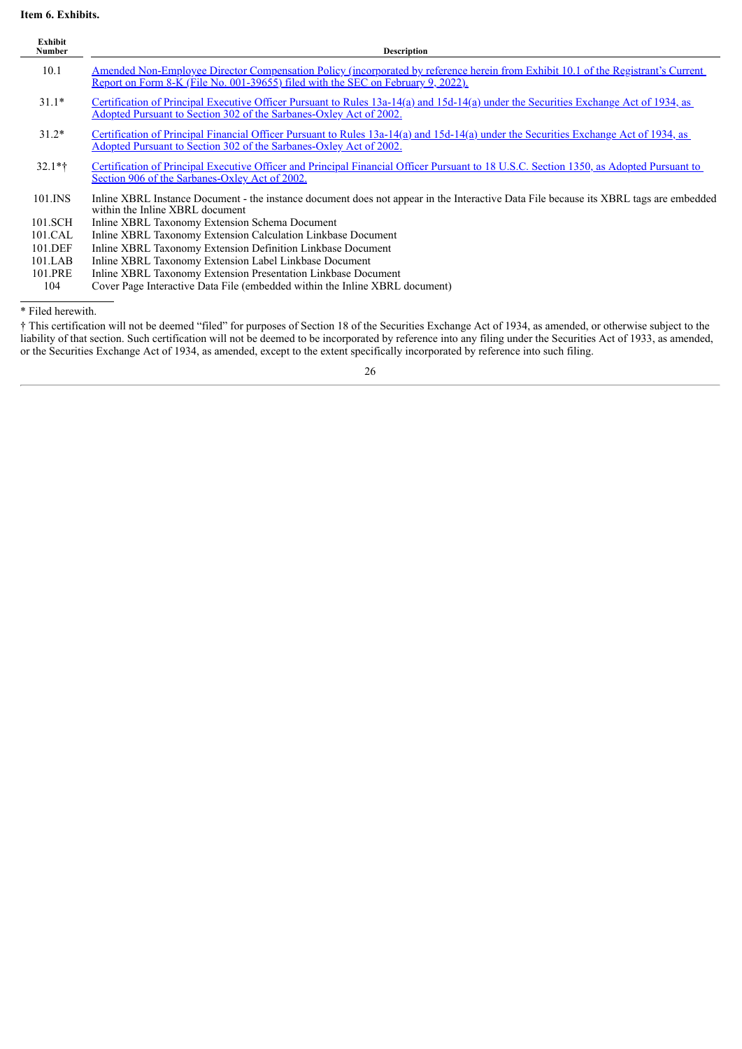## <span id="page-26-0"></span>**Item 6. Exhibits.**

| Exhibit<br><b>Number</b> | <b>Description</b>                                                                                                                                                                                                    |
|--------------------------|-----------------------------------------------------------------------------------------------------------------------------------------------------------------------------------------------------------------------|
| 10.1                     | Amended Non-Employee Director Compensation Policy (incorporated by reference herein from Exhibit 10.1 of the Registrant's Current<br>Report on Form 8-K (File No. 001-39655) filed with the SEC on February 9, 2022). |
| $31.1*$                  | Certification of Principal Executive Officer Pursuant to Rules 13a-14(a) and 15d-14(a) under the Securities Exchange Act of 1934, as<br>Adopted Pursuant to Section 302 of the Sarbanes-Oxley Act of 2002.            |
| $31.2*$                  | Certification of Principal Financial Officer Pursuant to Rules 13a-14(a) and 15d-14(a) under the Securities Exchange Act of 1934, as<br>Adopted Pursuant to Section 302 of the Sarbanes-Oxley Act of 2002.            |
| $32.1*$                  | Certification of Principal Executive Officer and Principal Financial Officer Pursuant to 18 U.S.C. Section 1350, as Adopted Pursuant to<br>Section 906 of the Sarbanes-Oxley Act of 2002.                             |
| 101.INS                  | Inline XBRL Instance Document - the instance document does not appear in the Interactive Data File because its XBRL tags are embedded<br>within the Inline XBRL document                                              |
| 101.SCH                  | Inline XBRL Taxonomy Extension Schema Document                                                                                                                                                                        |
| 101.CAL                  | Inline XBRL Taxonomy Extension Calculation Linkbase Document                                                                                                                                                          |
| 101.DEF                  | Inline XBRL Taxonomy Extension Definition Linkbase Document                                                                                                                                                           |
| $101$ .LAB               | Inline XBRL Taxonomy Extension Label Linkbase Document                                                                                                                                                                |
| 101.PRE                  | Inline XBRL Taxonomy Extension Presentation Linkbase Document                                                                                                                                                         |
| 104                      | Cover Page Interactive Data File (embedded within the Inline XBRL document)                                                                                                                                           |
| * Filed herewith.        |                                                                                                                                                                                                                       |

† This certification will not be deemed "filed" for purposes of Section 18 of the Securities Exchange Act of 1934, as amended, or otherwise subject to the liability of that section. Such certification will not be deemed to be incorporated by reference into any filing under the Securities Act of 1933, as amended, or the Securities Exchange Act of 1934, as amended, except to the extent specifically incorporated by reference into such filing.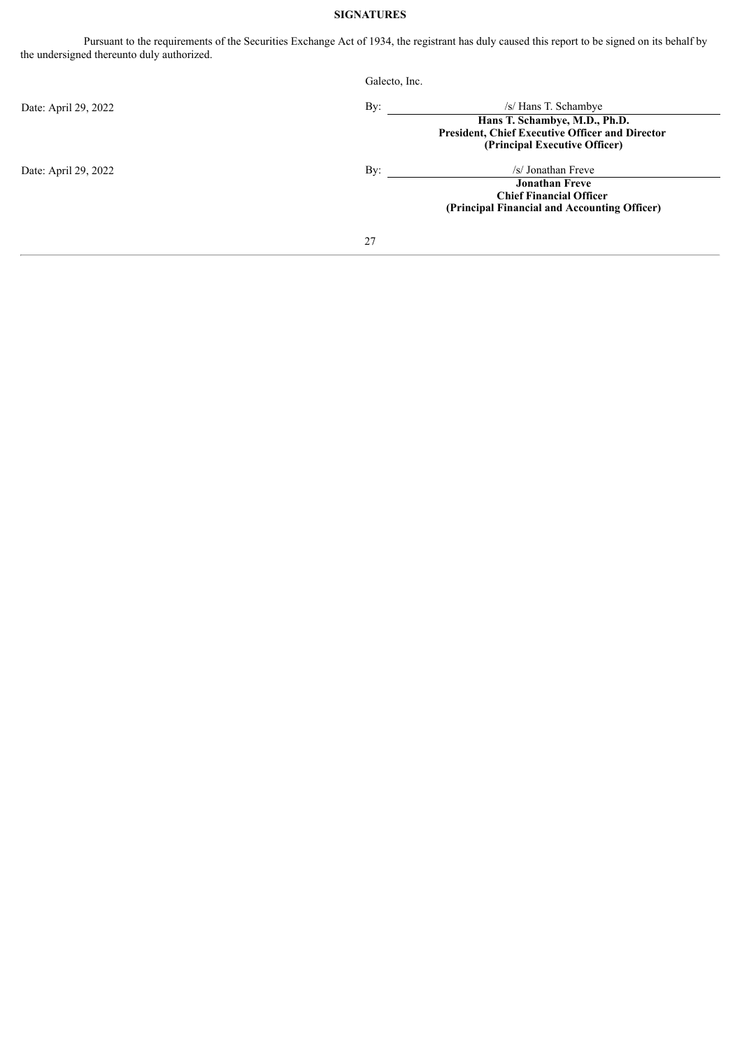## **SIGNATURES**

<span id="page-27-0"></span>Pursuant to the requirements of the Securities Exchange Act of 1934, the registrant has duly caused this report to be signed on its behalf by the undersigned thereunto duly authorized.

|                      | Galecto, Inc.                                                                                                                                           |  |
|----------------------|---------------------------------------------------------------------------------------------------------------------------------------------------------|--|
| Date: April 29, 2022 | By:<br>/s/ Hans T. Schambye<br>Hans T. Schambye, M.D., Ph.D.<br><b>President, Chief Executive Officer and Director</b><br>(Principal Executive Officer) |  |
| Date: April 29, 2022 | By:<br>/s/ Jonathan Freve<br><b>Jonathan Freve</b><br><b>Chief Financial Officer</b><br>(Principal Financial and Accounting Officer)                    |  |
|                      | 27                                                                                                                                                      |  |
|                      |                                                                                                                                                         |  |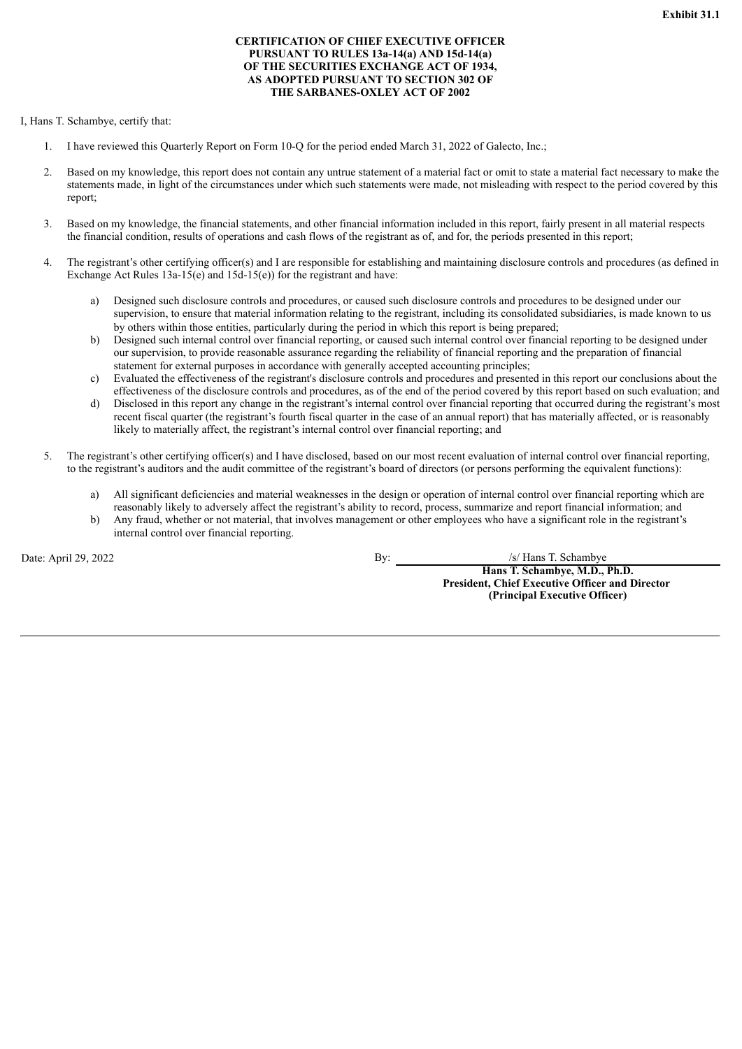#### **CERTIFICATION OF CHIEF EXECUTIVE OFFICER PURSUANT TO RULES 13a-14(a) AND 15d-14(a) OF THE SECURITIES EXCHANGE ACT OF 1934, AS ADOPTED PURSUANT TO SECTION 302 OF THE SARBANES-OXLEY ACT OF 2002**

<span id="page-28-0"></span>I, Hans T. Schambye, certify that:

- 1. I have reviewed this Quarterly Report on Form 10-Q for the period ended March 31, 2022 of Galecto, Inc.;
- 2. Based on my knowledge, this report does not contain any untrue statement of a material fact or omit to state a material fact necessary to make the statements made, in light of the circumstances under which such statements were made, not misleading with respect to the period covered by this report;
- 3. Based on my knowledge, the financial statements, and other financial information included in this report, fairly present in all material respects the financial condition, results of operations and cash flows of the registrant as of, and for, the periods presented in this report;
- 4. The registrant's other certifying officer(s) and I are responsible for establishing and maintaining disclosure controls and procedures (as defined in Exchange Act Rules 13a-15(e) and 15d-15(e)) for the registrant and have:
	- a) Designed such disclosure controls and procedures, or caused such disclosure controls and procedures to be designed under our supervision, to ensure that material information relating to the registrant, including its consolidated subsidiaries, is made known to us by others within those entities, particularly during the period in which this report is being prepared;
	- b) Designed such internal control over financial reporting, or caused such internal control over financial reporting to be designed under our supervision, to provide reasonable assurance regarding the reliability of financial reporting and the preparation of financial statement for external purposes in accordance with generally accepted accounting principles;
	- c) Evaluated the effectiveness of the registrant's disclosure controls and procedures and presented in this report our conclusions about the effectiveness of the disclosure controls and procedures, as of the end of the period covered by this report based on such evaluation; and
	- d) Disclosed in this report any change in the registrant's internal control over financial reporting that occurred during the registrant's most recent fiscal quarter (the registrant's fourth fiscal quarter in the case of an annual report) that has materially affected, or is reasonably likely to materially affect, the registrant's internal control over financial reporting; and
- 5. The registrant's other certifying officer(s) and I have disclosed, based on our most recent evaluation of internal control over financial reporting, to the registrant's auditors and the audit committee of the registrant's board of directors (or persons performing the equivalent functions):
	- a) All significant deficiencies and material weaknesses in the design or operation of internal control over financial reporting which are reasonably likely to adversely affect the registrant's ability to record, process, summarize and report financial information; and
	- b) Any fraud, whether or not material, that involves management or other employees who have a significant role in the registrant's internal control over financial reporting.

Date: April 29, 2022 By: /s/ Hans T. Schambye **Hans T. Schambye, M.D., Ph.D. President, Chief Executive Officer and Director (Principal Executive Officer)**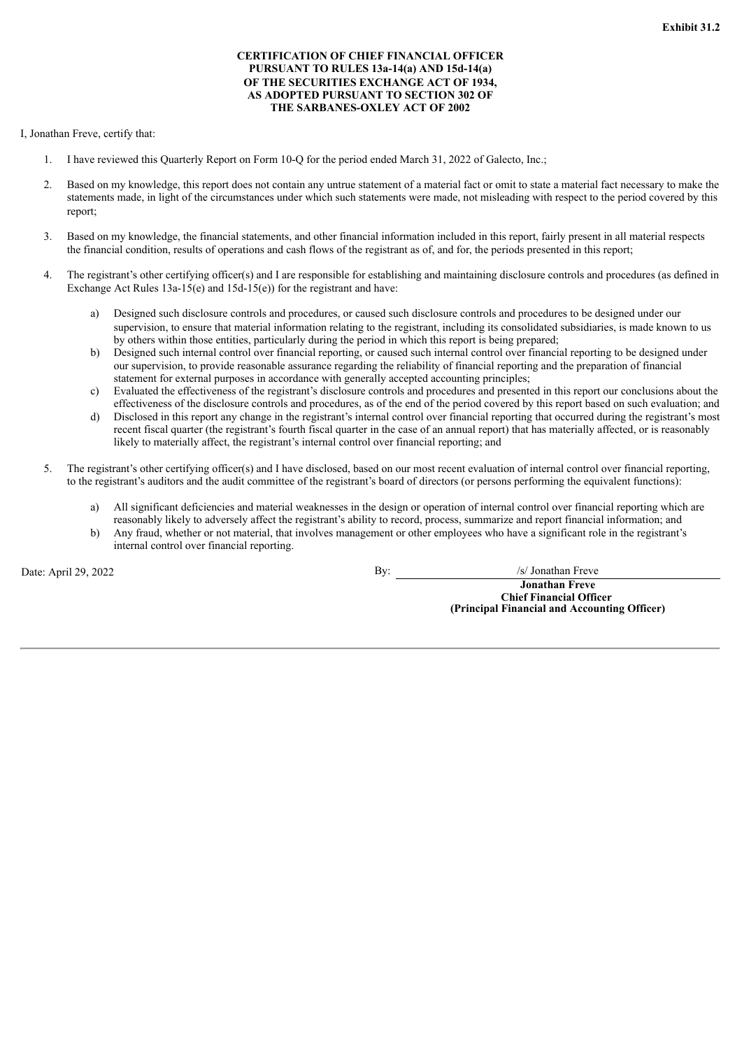#### **CERTIFICATION OF CHIEF FINANCIAL OFFICER PURSUANT TO RULES 13a-14(a) AND 15d-14(a) OF THE SECURITIES EXCHANGE ACT OF 1934, AS ADOPTED PURSUANT TO SECTION 302 OF THE SARBANES-OXLEY ACT OF 2002**

<span id="page-29-0"></span>I, Jonathan Freve, certify that:

- 1. I have reviewed this Quarterly Report on Form 10-Q for the period ended March 31, 2022 of Galecto, Inc.;
- 2. Based on my knowledge, this report does not contain any untrue statement of a material fact or omit to state a material fact necessary to make the statements made, in light of the circumstances under which such statements were made, not misleading with respect to the period covered by this report;
- 3. Based on my knowledge, the financial statements, and other financial information included in this report, fairly present in all material respects the financial condition, results of operations and cash flows of the registrant as of, and for, the periods presented in this report;
- 4. The registrant's other certifying officer(s) and I are responsible for establishing and maintaining disclosure controls and procedures (as defined in Exchange Act Rules 13a-15(e) and 15d-15(e)) for the registrant and have:
	- a) Designed such disclosure controls and procedures, or caused such disclosure controls and procedures to be designed under our supervision, to ensure that material information relating to the registrant, including its consolidated subsidiaries, is made known to us by others within those entities, particularly during the period in which this report is being prepared;
	- b) Designed such internal control over financial reporting, or caused such internal control over financial reporting to be designed under our supervision, to provide reasonable assurance regarding the reliability of financial reporting and the preparation of financial statement for external purposes in accordance with generally accepted accounting principles;
	- c) Evaluated the effectiveness of the registrant's disclosure controls and procedures and presented in this report our conclusions about the effectiveness of the disclosure controls and procedures, as of the end of the period covered by this report based on such evaluation; and
	- d) Disclosed in this report any change in the registrant's internal control over financial reporting that occurred during the registrant's most recent fiscal quarter (the registrant's fourth fiscal quarter in the case of an annual report) that has materially affected, or is reasonably likely to materially affect, the registrant's internal control over financial reporting; and
- 5. The registrant's other certifying officer(s) and I have disclosed, based on our most recent evaluation of internal control over financial reporting, to the registrant's auditors and the audit committee of the registrant's board of directors (or persons performing the equivalent functions):
	- a) All significant deficiencies and material weaknesses in the design or operation of internal control over financial reporting which are reasonably likely to adversely affect the registrant's ability to record, process, summarize and report financial information; and
	- b) Any fraud, whether or not material, that involves management or other employees who have a significant role in the registrant's internal control over financial reporting.

Date: April 29, 2022 By: /s/ Jonathan Freve

**Jonathan Freve Chief Financial Officer (Principal Financial and Accounting Officer)**